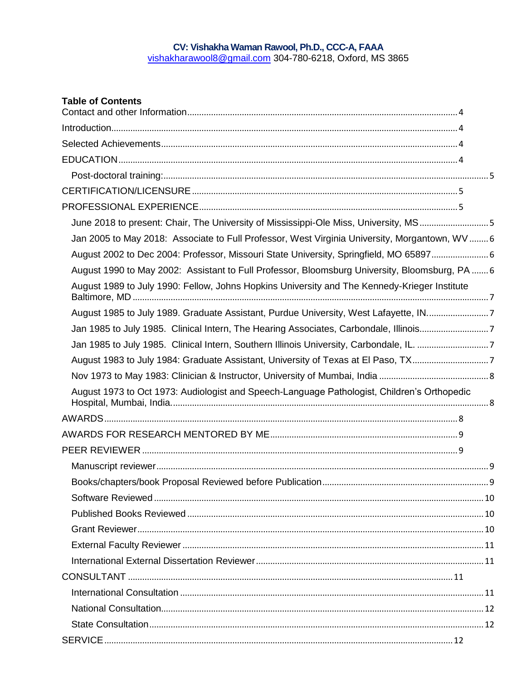# CV: Vishakha Waman Rawool, Ph.D., CCC-A, FAAA<br>vishakharawool8@gmail.com 304-780-6218, Oxford, MS 3865

| <b>Table of Contents</b>                                                                       |  |
|------------------------------------------------------------------------------------------------|--|
|                                                                                                |  |
|                                                                                                |  |
|                                                                                                |  |
|                                                                                                |  |
|                                                                                                |  |
|                                                                                                |  |
| June 2018 to present: Chair, The University of Mississippi-Ole Miss, University, MS5           |  |
| Jan 2005 to May 2018: Associate to Full Professor, West Virginia University, Morgantown, WV  6 |  |
| August 2002 to Dec 2004: Professor, Missouri State University, Springfield, MO 65897 6         |  |
| August 1990 to May 2002: Assistant to Full Professor, Bloomsburg University, Bloomsburg, PA  6 |  |
| August 1989 to July 1990: Fellow, Johns Hopkins University and The Kennedy-Krieger Institute   |  |
| August 1985 to July 1989. Graduate Assistant, Purdue University, West Lafayette, IN7           |  |
| Jan 1985 to July 1985. Clinical Intern, The Hearing Associates, Carbondale, Illinois7          |  |
| Jan 1985 to July 1985. Clinical Intern, Southern Illinois University, Carbondale, IL. 7        |  |
| August 1983 to July 1984: Graduate Assistant, University of Texas at El Paso, TX7              |  |
|                                                                                                |  |
| August 1973 to Oct 1973: Audiologist and Speech-Language Pathologist, Children's Orthopedic    |  |
|                                                                                                |  |
|                                                                                                |  |
|                                                                                                |  |
|                                                                                                |  |
|                                                                                                |  |
|                                                                                                |  |
|                                                                                                |  |
|                                                                                                |  |
|                                                                                                |  |
|                                                                                                |  |
|                                                                                                |  |
|                                                                                                |  |
|                                                                                                |  |
|                                                                                                |  |
|                                                                                                |  |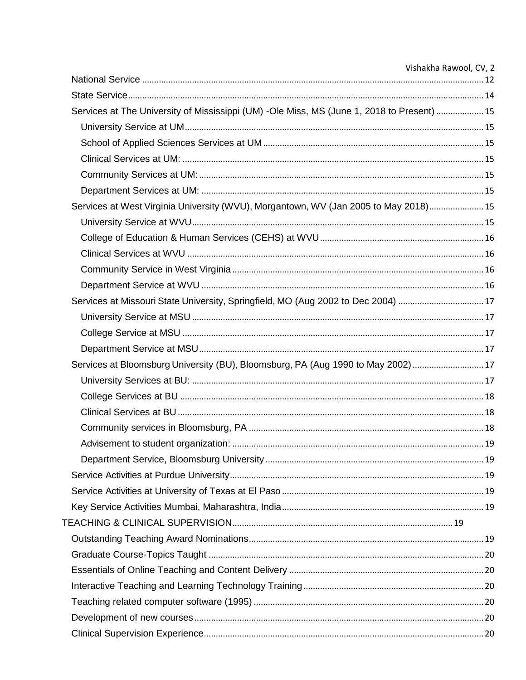|                                                                                            | Vishakha Rawool, CV, 2 |
|--------------------------------------------------------------------------------------------|------------------------|
|                                                                                            |                        |
|                                                                                            |                        |
| Services at The University of Mississippi (UM) -Ole Miss, MS (June 1, 2018 to Present)  15 |                        |
|                                                                                            |                        |
|                                                                                            |                        |
|                                                                                            |                        |
|                                                                                            |                        |
|                                                                                            |                        |
| Services at West Virginia University (WVU), Morgantown, WV (Jan 2005 to May 2018) 15       |                        |
|                                                                                            |                        |
|                                                                                            |                        |
|                                                                                            |                        |
|                                                                                            |                        |
|                                                                                            |                        |
| Services at Missouri State University, Springfield, MO (Aug 2002 to Dec 2004) 17           |                        |
|                                                                                            |                        |
|                                                                                            |                        |
|                                                                                            |                        |
| Services at Bloomsburg University (BU), Bloomsburg, PA (Aug 1990 to May 2002) 17           |                        |
|                                                                                            |                        |
|                                                                                            |                        |
|                                                                                            |                        |
|                                                                                            |                        |
|                                                                                            |                        |
|                                                                                            |                        |
|                                                                                            |                        |
|                                                                                            |                        |
|                                                                                            |                        |
|                                                                                            |                        |
|                                                                                            |                        |
|                                                                                            |                        |
|                                                                                            |                        |
|                                                                                            |                        |
|                                                                                            |                        |
|                                                                                            |                        |
|                                                                                            |                        |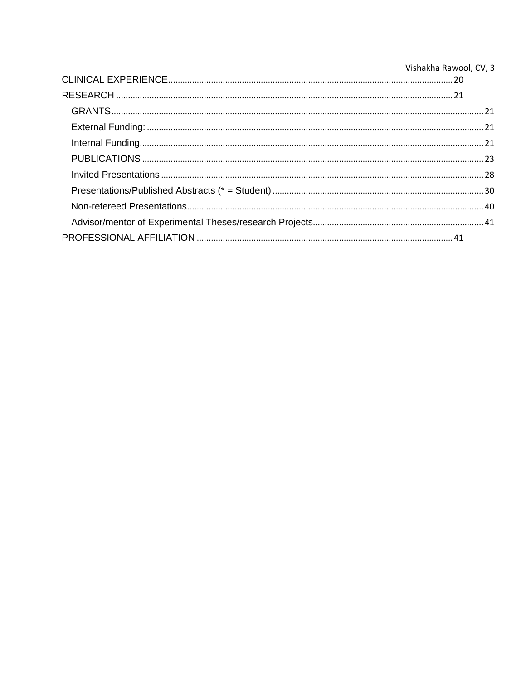| Vishakha Rawool, CV, 3 |
|------------------------|
|                        |
|                        |
|                        |
|                        |
|                        |
|                        |
|                        |
|                        |
|                        |
|                        |
|                        |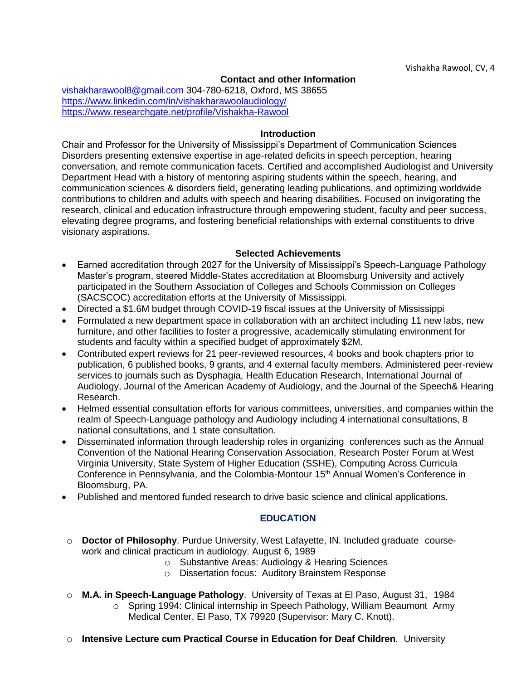# **Contact and other Information**

<span id="page-3-0"></span>[vishakharawool8@gmail.com](mailto:vishakharawool8@gmail.com) 304-780-6218, Oxford, MS 38655 <https://www.linkedin.com/in/vishakharawoolaudiology/> <https://www.researchgate.net/profile/Vishakha-Rawool>

#### **Introduction**

<span id="page-3-1"></span>Chair and Professor for the University of Mississippi's Department of Communication Sciences Disorders presenting extensive expertise in age-related deficits in speech perception, hearing conversation, and remote communication facets. Certified and accomplished Audiologist and University Department Head with a history of mentoring aspiring students within the speech, hearing, and communication sciences & disorders field, generating leading publications, and optimizing worldwide contributions to children and adults with speech and hearing disabilities. Focused on invigorating the research, clinical and education infrastructure through empowering student, faculty and peer success, elevating degree programs, and fostering beneficial relationships with external constituents to drive visionary aspirations.

## **Selected Achievements**

- <span id="page-3-2"></span>• Earned accreditation through 2027 for the University of Mississippi's Speech-Language Pathology Master's program, steered Middle-States accreditation at Bloomsburg University and actively participated in the Southern Association of Colleges and Schools Commission on Colleges (SACSCOC) accreditation efforts at the University of Mississippi.
- Directed a \$1.6M budget through COVID-19 fiscal issues at the University of Mississippi
- Formulated a new department space in collaboration with an architect including 11 new labs, new furniture, and other facilities to foster a progressive, academically stimulating environment for students and faculty within a specified budget of approximately \$2M.
- Contributed expert reviews for 21 peer-reviewed resources, 4 books and book chapters prior to publication, 6 published books, 9 grants, and 4 external faculty members. Administered peer-review services to journals such as Dysphagia, Health Education Research, International Journal of Audiology, Journal of the American Academy of Audiology, and the Journal of the Speech& Hearing Research.
- Helmed essential consultation efforts for various committees, universities, and companies within the realm of Speech-Language pathology and Audiology including 4 international consultations, 8 national consultations, and 1 state consultation.
- Disseminated information through leadership roles in organizing conferences such as the Annual Convention of the National Hearing Conservation Association, Research Poster Forum at West Virginia University, State System of Higher Education (SSHE), Computing Across Curricula Conference in Pennsylvania, and the Colombia-Montour 15<sup>th</sup> Annual Women's Conference in Bloomsburg, PA.
- <span id="page-3-3"></span>• Published and mentored funded research to drive basic science and clinical applications.

# **EDUCATION**

- o **Doctor of Philosophy**. Purdue University, West Lafayette, IN. Included graduate coursework and clinical practicum in audiology. August 6, 1989
	- o Substantive Areas: Audiology & Hearing Sciences
	- o Dissertation focus: Auditory Brainstem Response
- o **M.A. in Speech-Language Pathology**. University of Texas at El Paso, August 31, 1984 o Spring 1994: Clinical internship in Speech Pathology, William Beaumont Army Medical Center, El Paso, TX 79920 (Supervisor: Mary C. Knott).
- o **Intensive Lecture cum Practical Course in Education for Deaf Children**. University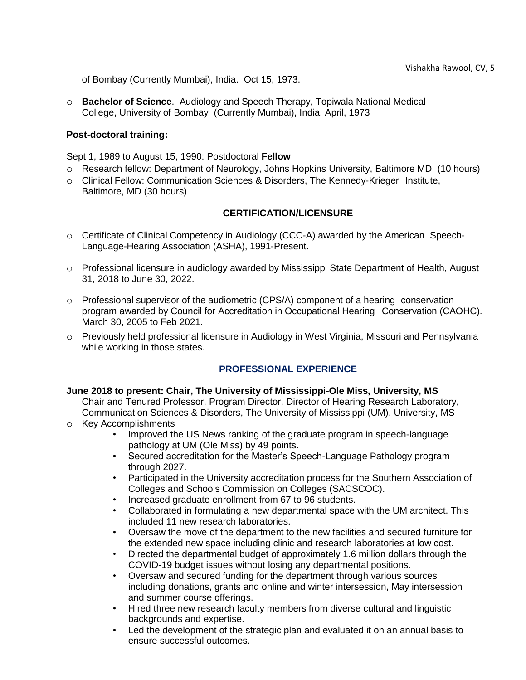of Bombay (Currently Mumbai), India. Oct 15, 1973.

o **Bachelor of Science**. Audiology and Speech Therapy, Topiwala National Medical College, University of Bombay (Currently Mumbai), India, April, 1973

## <span id="page-4-0"></span>**Post-doctoral training:**

Sept 1, 1989 to August 15, 1990: Postdoctoral **Fellow**

- o Research fellow: Department of Neurology, Johns Hopkins University, Baltimore MD (10 hours)
- o Clinical Fellow: Communication Sciences & Disorders, The Kennedy-Krieger Institute, Baltimore, MD (30 hours)

## **CERTIFICATION/LICENSURE**

- <span id="page-4-1"></span>o Certificate of Clinical Competency in Audiology (CCC-A) awarded by the American Speech-Language-Hearing Association (ASHA), 1991-Present.
- o Professional licensure in audiology awarded by Mississippi State Department of Health, August 31, 2018 to June 30, 2022.
- $\circ$  Professional supervisor of the audiometric (CPS/A) component of a hearing conservation program awarded by Council for Accreditation in Occupational Hearing Conservation (CAOHC). March 30, 2005 to Feb 2021.
- o Previously held professional licensure in Audiology in West Virginia, Missouri and Pennsylvania while working in those states.

# **PROFESSIONAL EXPERIENCE**

## <span id="page-4-3"></span><span id="page-4-2"></span>**June 2018 to present: Chair, The University of Mississippi-Ole Miss, University, MS**

Chair and Tenured Professor, Program Director, Director of Hearing Research Laboratory, Communication Sciences & Disorders, The University of Mississippi (UM), University, MS

- o Key Accomplishments
	- Improved the US News ranking of the graduate program in speech-language pathology at UM (Ole Miss) by 49 points.
	- Secured accreditation for the Master's Speech-Language Pathology program through 2027.
	- Participated in the University accreditation process for the Southern Association of Colleges and Schools Commission on Colleges (SACSCOC).
	- Increased graduate enrollment from 67 to 96 students.
	- Collaborated in formulating a new departmental space with the UM architect. This included 11 new research laboratories.
	- Oversaw the move of the department to the new facilities and secured furniture for the extended new space including clinic and research laboratories at low cost.
	- Directed the departmental budget of approximately 1.6 million dollars through the COVID-19 budget issues without losing any departmental positions.
	- Oversaw and secured funding for the department through various sources including donations, grants and online and winter intersession, May intersession and summer course offerings.
	- Hired three new research faculty members from diverse cultural and linguistic backgrounds and expertise.
	- Led the development of the strategic plan and evaluated it on an annual basis to ensure successful outcomes.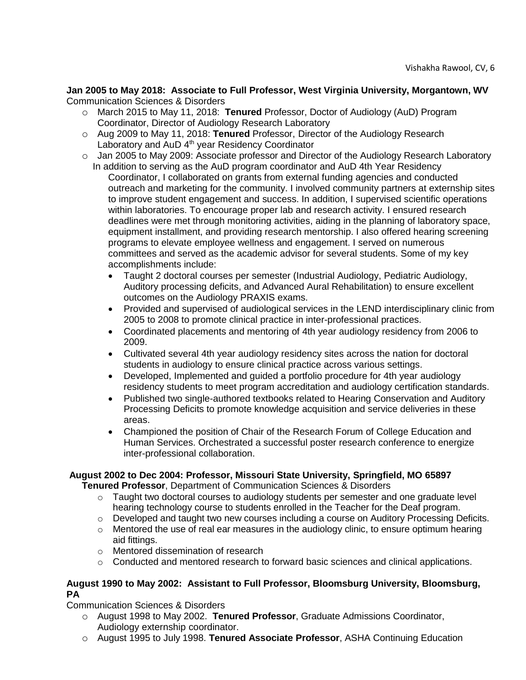<span id="page-5-0"></span>**Jan 2005 to May 2018: Associate to Full Professor, West Virginia University, Morgantown, WV** Communication Sciences & Disorders

- o March 2015 to May 11, 2018: **Tenured** Professor, Doctor of Audiology (AuD) Program Coordinator, Director of Audiology Research Laboratory
- o Aug 2009 to May 11, 2018: **Tenured** Professor, Director of the Audiology Research Laboratory and AuD 4<sup>th</sup> year Residency Coordinator
- o Jan 2005 to May 2009: Associate professor and Director of the Audiology Research Laboratory In addition to serving as the AuD program coordinator and AuD 4th Year Residency Coordinator, I collaborated on grants from external funding agencies and conducted outreach and marketing for the community. I involved community partners at externship sites to improve student engagement and success. In addition, I supervised scientific operations within laboratories. To encourage proper lab and research activity. I ensured research deadlines were met through monitoring activities, aiding in the planning of laboratory space, equipment installment, and providing research mentorship. I also offered hearing screening programs to elevate employee wellness and engagement. I served on numerous committees and served as the academic advisor for several students. Some of my key accomplishments include:
	- Taught 2 doctoral courses per semester (Industrial Audiology, Pediatric Audiology, Auditory processing deficits, and Advanced Aural Rehabilitation) to ensure excellent outcomes on the Audiology PRAXIS exams.
	- Provided and supervised of audiological services in the LEND interdisciplinary clinic from 2005 to 2008 to promote clinical practice in inter-professional practices.
	- Coordinated placements and mentoring of 4th year audiology residency from 2006 to 2009.
	- Cultivated several 4th year audiology residency sites across the nation for doctoral students in audiology to ensure clinical practice across various settings.
	- Developed, Implemented and guided a portfolio procedure for 4th year audiology residency students to meet program accreditation and audiology certification standards.
	- Published two single-authored textbooks related to Hearing Conservation and Auditory Processing Deficits to promote knowledge acquisition and service deliveries in these areas.
	- Championed the position of Chair of the Research Forum of College Education and Human Services. Orchestrated a successful poster research conference to energize inter-professional collaboration.

# <span id="page-5-1"></span>**August 2002 to Dec 2004: Professor, Missouri State University, Springfield, MO 65897**

**Tenured Professor**, Department of Communication Sciences & Disorders

- $\circ$  Taught two doctoral courses to audiology students per semester and one graduate level hearing technology course to students enrolled in the Teacher for the Deaf program.
- $\circ$  Developed and taught two new courses including a course on Auditory Processing Deficits.
- o Mentored the use of real ear measures in the audiology clinic, to ensure optimum hearing aid fittings.
- o Mentored dissemination of research
- $\circ$  Conducted and mentored research to forward basic sciences and clinical applications.

# <span id="page-5-2"></span>**August 1990 to May 2002: Assistant to Full Professor, Bloomsburg University, Bloomsburg, PA**

Communication Sciences & Disorders

- o August 1998 to May 2002. **Tenured Professor**, Graduate Admissions Coordinator, Audiology externship coordinator.
- o August 1995 to July 1998. **Tenured Associate Professor**, ASHA Continuing Education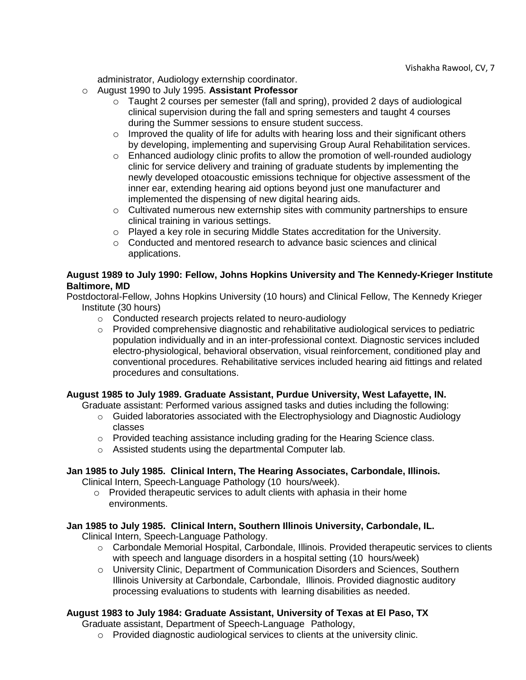administrator, Audiology externship coordinator.

- o August 1990 to July 1995. **Assistant Professor**
	- $\circ$  Taught 2 courses per semester (fall and spring), provided 2 days of audiological clinical supervision during the fall and spring semesters and taught 4 courses during the Summer sessions to ensure student success.
	- $\circ$  Improved the quality of life for adults with hearing loss and their significant others by developing, implementing and supervising Group Aural Rehabilitation services.
	- o Enhanced audiology clinic profits to allow the promotion of well-rounded audiology clinic for service delivery and training of graduate students by implementing the newly developed otoacoustic emissions technique for objective assessment of the inner ear, extending hearing aid options beyond just one manufacturer and implemented the dispensing of new digital hearing aids.
	- $\circ$  Cultivated numerous new externship sites with community partnerships to ensure clinical training in various settings.
	- o Played a key role in securing Middle States accreditation for the University.
	- $\circ$  Conducted and mentored research to advance basic sciences and clinical applications.

# <span id="page-6-0"></span>**August 1989 to July 1990: Fellow, Johns Hopkins University and The Kennedy-Krieger Institute Baltimore, MD**

Postdoctoral-Fellow, Johns Hopkins University (10 hours) and Clinical Fellow, The Kennedy Krieger Institute (30 hours)

- o Conducted research projects related to neuro-audiology
- $\circ$  Provided comprehensive diagnostic and rehabilitative audiological services to pediatric population individually and in an inter-professional context. Diagnostic services included electro-physiological, behavioral observation, visual reinforcement, conditioned play and conventional procedures. Rehabilitative services included hearing aid fittings and related procedures and consultations.

# <span id="page-6-1"></span>**August 1985 to July 1989. Graduate Assistant, Purdue University, West Lafayette, IN.**

Graduate assistant: Performed various assigned tasks and duties including the following:

- o Guided laboratories associated with the Electrophysiology and Diagnostic Audiology classes
- o Provided teaching assistance including grading for the Hearing Science class.
- o Assisted students using the departmental Computer lab.

## <span id="page-6-2"></span>**Jan 1985 to July 1985. Clinical Intern, The Hearing Associates, Carbondale, Illinois.**

Clinical Intern, Speech-Language Pathology (10 hours/week).

o Provided therapeutic services to adult clients with aphasia in their home environments.

# <span id="page-6-3"></span>**Jan 1985 to July 1985. Clinical Intern, Southern Illinois University, Carbondale, IL.**

Clinical Intern, Speech-Language Pathology.

- o Carbondale Memorial Hospital, Carbondale, Illinois. Provided therapeutic services to clients with speech and language disorders in a hospital setting (10 hours/week)
- o University Clinic, Department of Communication Disorders and Sciences, Southern Illinois University at Carbondale, Carbondale, Illinois. Provided diagnostic auditory processing evaluations to students with learning disabilities as needed.

# <span id="page-6-4"></span>**August 1983 to July 1984: Graduate Assistant, University of Texas at El Paso, TX**

Graduate assistant, Department of Speech-Language Pathology,

 $\circ$  Provided diagnostic audiological services to clients at the university clinic.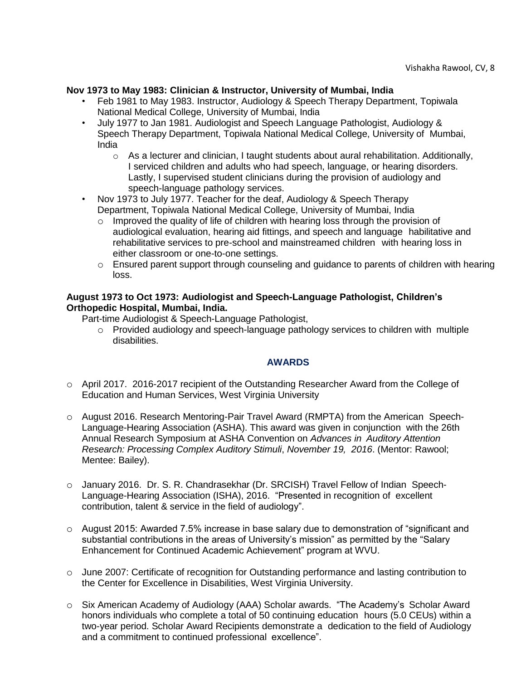# <span id="page-7-0"></span>**Nov 1973 to May 1983: Clinician & Instructor, University of Mumbai, India**

- Feb 1981 to May 1983. Instructor, Audiology & Speech Therapy Department, Topiwala National Medical College, University of Mumbai, India
- July 1977 to Jan 1981. Audiologist and Speech Language Pathologist, Audiology & Speech Therapy Department, Topiwala National Medical College, University of Mumbai, India
	- $\circ$  As a lecturer and clinician, I taught students about aural rehabilitation. Additionally, I serviced children and adults who had speech, language, or hearing disorders. Lastly, I supervised student clinicians during the provision of audiology and speech-language pathology services.
- Nov 1973 to July 1977. Teacher for the deaf, Audiology & Speech Therapy Department, Topiwala National Medical College, University of Mumbai, India
	- $\circ$  Improved the quality of life of children with hearing loss through the provision of audiological evaluation, hearing aid fittings, and speech and language habilitative and rehabilitative services to pre-school and mainstreamed children with hearing loss in either classroom or one-to-one settings.
	- o Ensured parent support through counseling and guidance to parents of children with hearing loss.

## <span id="page-7-1"></span>**August 1973 to Oct 1973: Audiologist and Speech-Language Pathologist, Children's Orthopedic Hospital, Mumbai, India.**

Part-time Audiologist & Speech-Language Pathologist,

o Provided audiology and speech-language pathology services to children with multiple disabilities.

## **AWARDS**

- <span id="page-7-2"></span>o April 2017. 2016-2017 recipient of the Outstanding Researcher Award from the College of Education and Human Services, West Virginia University
- o August 2016. Research Mentoring-Pair Travel Award (RMPTA) from the American Speech-Language-Hearing Association (ASHA). This award was given in conjunction with the 26th Annual Research Symposium at ASHA Convention on *Advances in Auditory Attention Research: Processing Complex Auditory Stimuli*, *November 19, 2016*. (Mentor: Rawool; Mentee: Bailey).
- o January 2016. Dr. S. R. Chandrasekhar (Dr. SRCISH) Travel Fellow of Indian Speech-Language-Hearing Association (ISHA), 2016. "Presented in recognition of excellent contribution, talent & service in the field of audiology".
- o August 2015: Awarded 7.5% increase in base salary due to demonstration of "significant and substantial contributions in the areas of University's mission" as permitted by the "Salary Enhancement for Continued Academic Achievement" program at WVU.
- $\circ$  June 2007: Certificate of recognition for Outstanding performance and lasting contribution to the Center for Excellence in Disabilities, West Virginia University.
- o Six American Academy of Audiology (AAA) Scholar awards. "The Academy's Scholar Award honors individuals who complete a total of 50 continuing education hours (5.0 CEUs) within a two-year period. Scholar Award Recipients demonstrate a dedication to the field of Audiology and a commitment to continued professional excellence".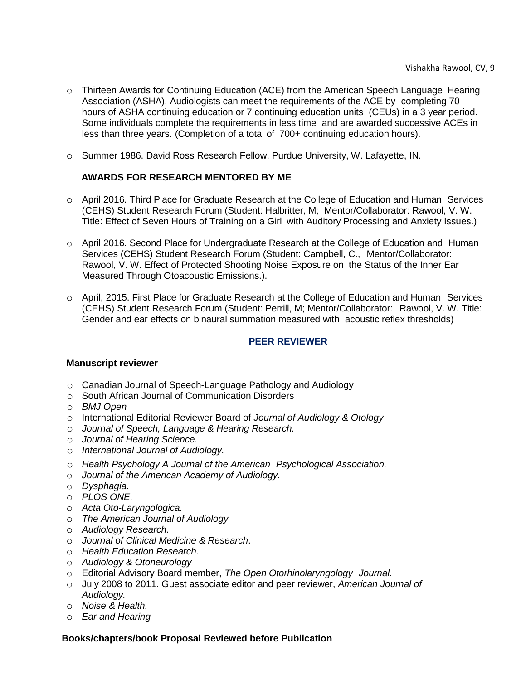- o Thirteen Awards for Continuing Education (ACE) from the American Speech Language Hearing Association (ASHA). Audiologists can meet the requirements of the ACE by completing 70 hours of ASHA continuing education or 7 continuing education units (CEUs) in a 3 year period. Some individuals complete the requirements in less time and are awarded successive ACEs in less than three years. (Completion of a total of 700+ continuing education hours).
- o Summer 1986. David Ross Research Fellow, Purdue University, W. Lafayette, IN.

# <span id="page-8-0"></span>**AWARDS FOR RESEARCH MENTORED BY ME**

- o April 2016. Third Place for Graduate Research at the College of Education and Human Services (CEHS) Student Research Forum (Student: Halbritter, M; Mentor/Collaborator: Rawool, V. W. Title: Effect of Seven Hours of Training on a Girl with Auditory Processing and Anxiety Issues.)
- o April 2016. Second Place for Undergraduate Research at the College of Education and Human Services (CEHS) Student Research Forum (Student: Campbell, C., Mentor/Collaborator: Rawool, V. W. Effect of Protected Shooting Noise Exposure on the Status of the Inner Ear Measured Through Otoacoustic Emissions.).
- o April, 2015. First Place for Graduate Research at the College of Education and Human Services (CEHS) Student Research Forum (Student: Perrill, M; Mentor/Collaborator: Rawool, V. W. Title: Gender and ear effects on binaural summation measured with acoustic reflex thresholds)

## **PEER REVIEWER**

## <span id="page-8-2"></span><span id="page-8-1"></span>**Manuscript reviewer**

- o Canadian Journal of Speech-Language Pathology and Audiology
- o South African Journal of Communication Disorders
- o *BMJ Open*
- o International Editorial Reviewer Board of *Journal of Audiology & Otology*
- o *Journal of Speech, Language & Hearing Research.*
- o *Journal of Hearing Science.*
- o *International Journal of Audiology.*
- o *Health Psychology A Journal of the American Psychological Association.*
- o *Journal of the American Academy of Audiology.*
- o *Dysphagia.*
- o *PLOS ONE.*
- o *Acta Oto-Laryngologica.*
- o *The American Journal of Audiology*
- o *Audiology Research.*
- o *Journal of Clinical Medicine & Research*.
- o *Health Education Research.*
- o *Audiology & Otoneurology*
- o Editorial Advisory Board member, *The Open Otorhinolaryngology Journal.*
- o July 2008 to 2011. Guest associate editor and peer reviewer, *American Journal of Audiology.*
- o *Noise & Health.*
- o *Ear and Hearing*

## <span id="page-8-3"></span>**Books/chapters/book Proposal Reviewed before Publication**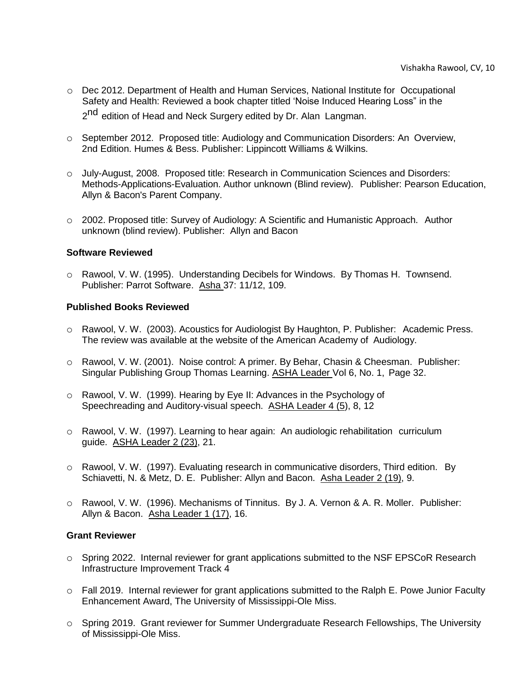- o Dec 2012. Department of Health and Human Services, National Institute for Occupational Safety and Health: Reviewed a book chapter titled 'Noise Induced Hearing Loss" in the 2<sup>nd</sup> edition of Head and Neck Surgery edited by Dr. Alan Langman.
- o September 2012. Proposed title: Audiology and Communication Disorders: An Overview, 2nd Edition. Humes & Bess. Publisher: Lippincott Williams & Wilkins.
- o July-August, 2008. Proposed title: Research in Communication Sciences and Disorders: Methods-Applications-Evaluation. Author unknown (Blind review). Publisher: Pearson Education, Allyn & Bacon's Parent Company.
- o 2002. Proposed title: Survey of Audiology: A Scientific and Humanistic Approach. Author unknown (blind review). Publisher: Allyn and Bacon

## <span id="page-9-0"></span>**Software Reviewed**

o Rawool, V. W. (1995). Understanding Decibels for Windows. By Thomas H. Townsend. Publisher: Parrot Software. Asha 37: 11/12, 109.

## <span id="page-9-1"></span>**Published Books Reviewed**

- o Rawool, V. W. (2003). Acoustics for Audiologist By Haughton, P. Publisher: Academic Press. The review was available at the website of the American Academy of Audiology.
- o Rawool, V. W. (2001). Noise control: A primer. By Behar, Chasin & Cheesman. Publisher: Singular Publishing Group Thomas Learning. ASHA Leader Vol 6, No. 1, Page 32.
- o Rawool, V. W. (1999). Hearing by Eye II: Advances in the Psychology of Speechreading and Auditory-visual speech. ASHA Leader 4 (5), 8, 12
- $\circ$  Rawool, V. W. (1997). Learning to hear again: An audiologic rehabilitation curriculum guide. ASHA Leader 2 (23), 21.
- o Rawool, V. W. (1997). Evaluating research in communicative disorders, Third edition. By Schiavetti, N. & Metz, D. E. Publisher: Allyn and Bacon. Asha Leader 2 (19), 9.
- o Rawool, V. W. (1996). Mechanisms of Tinnitus. By J. A. Vernon & A. R. Moller. Publisher: Allyn & Bacon. Asha Leader 1 (17), 16.

## <span id="page-9-2"></span>**Grant Reviewer**

- o Spring 2022. Internal reviewer for grant applications submitted to the NSF EPSCoR Research Infrastructure Improvement Track 4
- $\circ$  Fall 2019. Internal reviewer for grant applications submitted to the Ralph E. Powe Junior Faculty Enhancement Award, The University of Mississippi-Ole Miss.
- o Spring 2019. Grant reviewer for Summer Undergraduate Research Fellowships, The University of Mississippi-Ole Miss.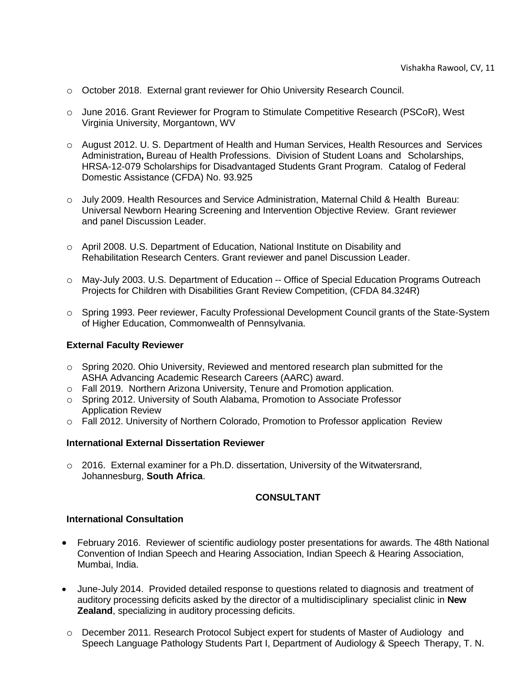- o October 2018. External grant reviewer for Ohio University Research Council.
- o June 2016. Grant Reviewer for Program to Stimulate Competitive Research (PSCoR), West Virginia University, Morgantown, WV
- o August 2012. U. S. Department of Health and Human Services, Health Resources and Services Administration**,** Bureau of Health Professions. Division of Student Loans and Scholarships, HRSA-12-079 Scholarships for Disadvantaged Students Grant Program. Catalog of Federal Domestic Assistance (CFDA) No. 93.925
- o July 2009. Health Resources and Service Administration, Maternal Child & Health Bureau: Universal Newborn Hearing Screening and Intervention Objective Review. Grant reviewer and panel Discussion Leader.
- o April 2008. U.S. Department of Education, National Institute on Disability and Rehabilitation Research Centers. Grant reviewer and panel Discussion Leader.
- o May-July 2003. U.S. Department of Education -- Office of Special Education Programs Outreach Projects for Children with Disabilities Grant Review Competition, (CFDA 84.324R)
- o Spring 1993. Peer reviewer, Faculty Professional Development Council grants of the State-System of Higher Education, Commonwealth of Pennsylvania.

## <span id="page-10-0"></span>**External Faculty Reviewer**

- o Spring 2020. Ohio University, Reviewed and mentored research plan submitted for the ASHA Advancing Academic Research Careers (AARC) award.
- o Fall 2019. Northern Arizona University, Tenure and Promotion application.
- o Spring 2012. University of South Alabama, Promotion to Associate Professor Application Review
- o Fall 2012. University of Northern Colorado, Promotion to Professor application Review

## <span id="page-10-1"></span>**International External Dissertation Reviewer**

 $\circ$  2016. External examiner for a Ph.D. dissertation, University of the Witwatersrand, Johannesburg, **South Africa**.

# **CONSULTANT**

## <span id="page-10-3"></span><span id="page-10-2"></span>**International Consultation**

- February 2016. Reviewer of scientific audiology poster presentations for awards. The 48th National Convention of Indian Speech and Hearing Association, Indian Speech & Hearing Association, Mumbai, India.
- June-July 2014. Provided detailed response to questions related to diagnosis and treatment of auditory processing deficits asked by the director of a multidisciplinary specialist clinic in **New Zealand**, specializing in auditory processing deficits.
- o December 2011. Research Protocol Subject expert for students of Master of Audiology and Speech Language Pathology Students Part I, Department of Audiology & Speech Therapy, T. N.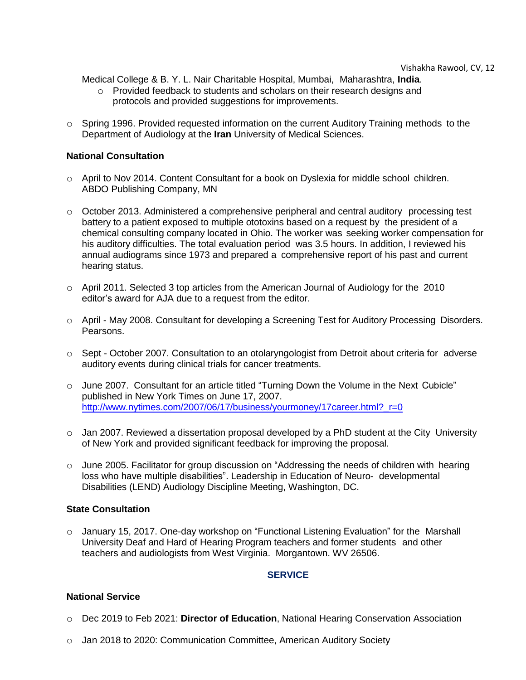Medical College & B. Y. L. Nair Charitable Hospital, Mumbai, Maharashtra, **India**.

- o Provided feedback to students and scholars on their research designs and protocols and provided suggestions for improvements.
- o Spring 1996. Provided requested information on the current Auditory Training methods to the Department of Audiology at the **Iran** University of Medical Sciences.

# <span id="page-11-0"></span>**National Consultation**

- o April to Nov 2014. Content Consultant for a book on Dyslexia for middle school children. ABDO Publishing Company, MN
- o October 2013. Administered a comprehensive peripheral and central auditory processing test battery to a patient exposed to multiple ototoxins based on a request by the president of a chemical consulting company located in Ohio. The worker was seeking worker compensation for his auditory difficulties. The total evaluation period was 3.5 hours. In addition, I reviewed his annual audiograms since 1973 and prepared a comprehensive report of his past and current hearing status.
- $\circ$  April 2011. Selected 3 top articles from the American Journal of Audiology for the 2010 editor's award for AJA due to a request from the editor.
- o April May 2008. Consultant for developing a Screening Test for Auditory Processing Disorders. Pearsons.
- $\circ$  Sept October 2007. Consultation to an otolaryngologist from Detroit about criteria for adverse auditory events during clinical trials for cancer treatments.
- o June 2007. Consultant for an article titled "Turning Down the Volume in the Next Cubicle" published in New York Times on June 17, 2007. [http://www.nytimes.com/2007/06/17/business/yourmoney/17career.html?\\_r=0](http://www.nytimes.com/2007/06/17/business/yourmoney/17career.html?_r=0)
- $\circ$  Jan 2007. Reviewed a dissertation proposal developed by a PhD student at the City University of New York and provided significant feedback for improving the proposal.
- $\circ$  June 2005. Facilitator for group discussion on "Addressing the needs of children with hearing loss who have multiple disabilities". Leadership in Education of Neuro- developmental Disabilities (LEND) Audiology Discipline Meeting, Washington, DC.

# <span id="page-11-1"></span>**State Consultation**

o January 15, 2017. One-day workshop on "Functional Listening Evaluation" for the Marshall University Deaf and Hard of Hearing Program teachers and former students and other teachers and audiologists from West Virginia. Morgantown. WV 26506.

# **SERVICE**

## <span id="page-11-3"></span><span id="page-11-2"></span>**National Service**

- o Dec 2019 to Feb 2021: **Director of Education**, National Hearing Conservation Association
- $\circ$  Jan 2018 to 2020: Communication Committee, American Auditory Society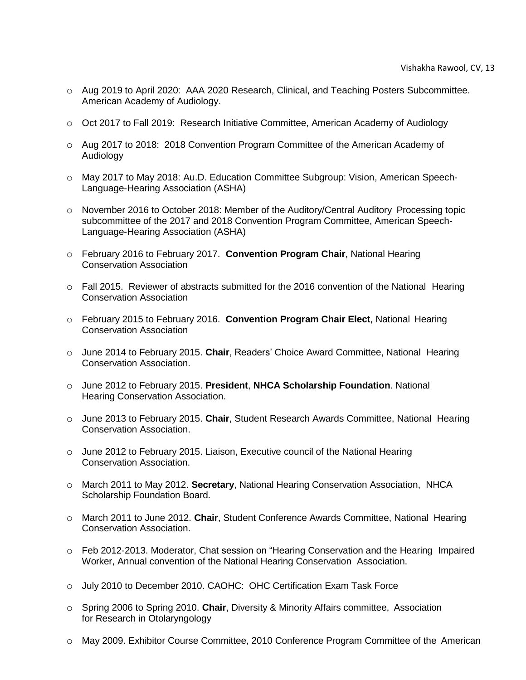- o Aug 2019 to April 2020: AAA 2020 Research, Clinical, and Teaching Posters Subcommittee. American Academy of Audiology.
- o Oct 2017 to Fall 2019: Research Initiative Committee, American Academy of Audiology
- o Aug 2017 to 2018: 2018 Convention Program Committee of the American Academy of Audiology
- o May 2017 to May 2018: Au.D. Education Committee Subgroup: Vision, American Speech-Language-Hearing Association (ASHA)
- o November 2016 to October 2018: Member of the Auditory/Central Auditory Processing topic subcommittee of the 2017 and 2018 Convention Program Committee, American Speech-Language-Hearing Association (ASHA)
- o February 2016 to February 2017. **Convention Program Chair**, National Hearing Conservation Association
- o Fall 2015. Reviewer of abstracts submitted for the 2016 convention of the National Hearing Conservation Association
- o February 2015 to February 2016. **Convention Program Chair Elect**, National Hearing Conservation Association
- o June 2014 to February 2015. **Chair**, Readers' Choice Award Committee, National Hearing Conservation Association.
- o June 2012 to February 2015. **President**, **NHCA Scholarship Foundation**. National Hearing Conservation Association.
- o June 2013 to February 2015. **Chair**, Student Research Awards Committee, National Hearing Conservation Association.
- $\circ$  June 2012 to February 2015. Liaison, Executive council of the National Hearing Conservation Association.
- o March 2011 to May 2012. **Secretary**, National Hearing Conservation Association, NHCA Scholarship Foundation Board.
- o March 2011 to June 2012. **Chair**, Student Conference Awards Committee, National Hearing Conservation Association.
- o Feb 2012-2013. Moderator, Chat session on "Hearing Conservation and the Hearing Impaired Worker, Annual convention of the National Hearing Conservation Association.
- o July 2010 to December 2010. CAOHC: OHC Certification Exam Task Force
- o Spring 2006 to Spring 2010. **Chair**, Diversity & Minority Affairs committee, Association for Research in Otolaryngology
- o May 2009. Exhibitor Course Committee, 2010 Conference Program Committee of the American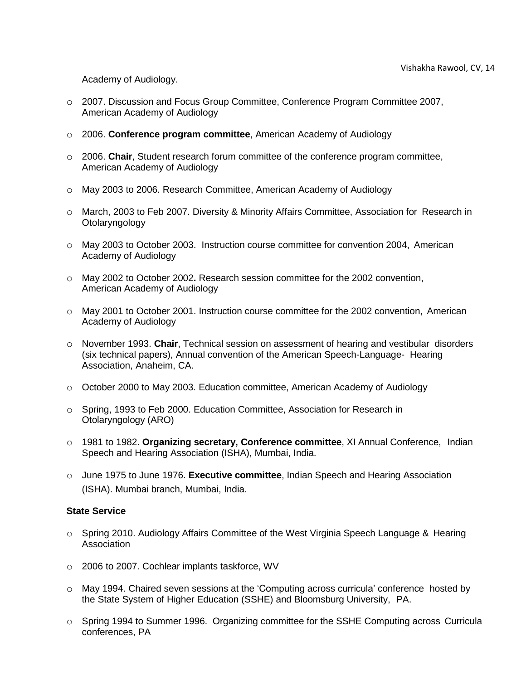Academy of Audiology.

- o 2007. Discussion and Focus Group Committee, Conference Program Committee 2007, American Academy of Audiology
- o 2006. **Conference program committee**, American Academy of Audiology
- o 2006. **Chair**, Student research forum committee of the conference program committee, American Academy of Audiology
- o May 2003 to 2006. Research Committee, American Academy of Audiology
- o March, 2003 to Feb 2007. Diversity & Minority Affairs Committee, Association for Research in Otolaryngology
- o May 2003 to October 2003. Instruction course committee for convention 2004, American Academy of Audiology
- o May 2002 to October 2002**.** Research session committee for the 2002 convention, American Academy of Audiology
- o May 2001 to October 2001. Instruction course committee for the 2002 convention, American Academy of Audiology
- o November 1993. **Chair**, Technical session on assessment of hearing and vestibular disorders (six technical papers), Annual convention of the American Speech-Language- Hearing Association, Anaheim, CA.
- o October 2000 to May 2003. Education committee, American Academy of Audiology
- o Spring, 1993 to Feb 2000. Education Committee, Association for Research in Otolaryngology (ARO)
- o 1981 to 1982. **Organizing secretary, Conference committee**, XI Annual Conference, Indian Speech and Hearing Association (ISHA), Mumbai, India.
- o June 1975 to June 1976. **Executive committee**, Indian Speech and Hearing Association (ISHA). Mumbai branch, Mumbai, India.

## <span id="page-13-0"></span>**State Service**

- o Spring 2010. Audiology Affairs Committee of the West Virginia Speech Language & Hearing Association
- o 2006 to 2007. Cochlear implants taskforce, WV
- o May 1994. Chaired seven sessions at the 'Computing across curricula' conference hosted by the State System of Higher Education (SSHE) and Bloomsburg University, PA.
- o Spring 1994 to Summer 1996. Organizing committee for the SSHE Computing across Curricula conferences, PA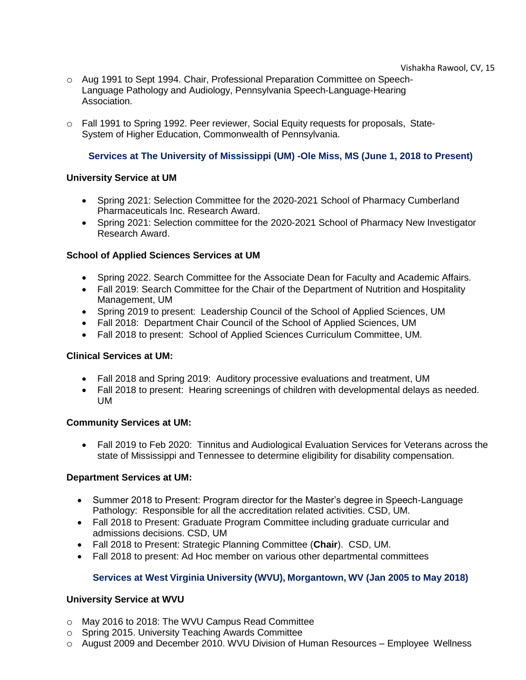- o Aug 1991 to Sept 1994. Chair, Professional Preparation Committee on Speech-Language Pathology and Audiology, Pennsylvania Speech-Language-Hearing Association.
- o Fall 1991 to Spring 1992. Peer reviewer, Social Equity requests for proposals, State-System of Higher Education, Commonwealth of Pennsylvania.

# **Services at The University of Mississippi (UM) -Ole Miss, MS (June 1, 2018 to Present)**

## <span id="page-14-1"></span><span id="page-14-0"></span>**University Service at UM**

- Spring 2021: Selection Committee for the 2020-2021 School of Pharmacy Cumberland Pharmaceuticals Inc. Research Award.
- Spring 2021: Selection committee for the 2020-2021 School of Pharmacy New Investigator Research Award.

## <span id="page-14-2"></span>**School of Applied Sciences Services at UM**

- Spring 2022. Search Committee for the Associate Dean for Faculty and Academic Affairs.
- Fall 2019: Search Committee for the Chair of the Department of Nutrition and Hospitality Management, UM
- Spring 2019 to present: Leadership Council of the School of Applied Sciences, UM
- Fall 2018: Department Chair Council of the School of Applied Sciences, UM
- Fall 2018 to present: School of Applied Sciences Curriculum Committee, UM.

## <span id="page-14-3"></span>**Clinical Services at UM:**

- Fall 2018 and Spring 2019: Auditory processive evaluations and treatment, UM
- Fall 2018 to present: Hearing screenings of children with developmental delays as needed. UM

## <span id="page-14-4"></span>**Community Services at UM:**

• Fall 2019 to Feb 2020: Tinnitus and Audiological Evaluation Services for Veterans across the state of Mississippi and Tennessee to determine eligibility for disability compensation.

## <span id="page-14-5"></span>**Department Services at UM:**

- Summer 2018 to Present: Program director for the Master's degree in Speech-Language Pathology: Responsible for all the accreditation related activities. CSD, UM.
- Fall 2018 to Present: Graduate Program Committee including graduate curricular and admissions decisions. CSD, UM
- Fall 2018 to Present: Strategic Planning Committee (**Chair**). CSD, UM.
- Fall 2018 to present: Ad Hoc member on various other departmental committees

# **Services at West Virginia University (WVU), Morgantown, WV (Jan 2005 to May 2018)**

# <span id="page-14-7"></span><span id="page-14-6"></span>**University Service at WVU**

- o May 2016 to 2018: The WVU Campus Read Committee
- o Spring 2015. University Teaching Awards Committee
- o August 2009 and December 2010. WVU Division of Human Resources Employee Wellness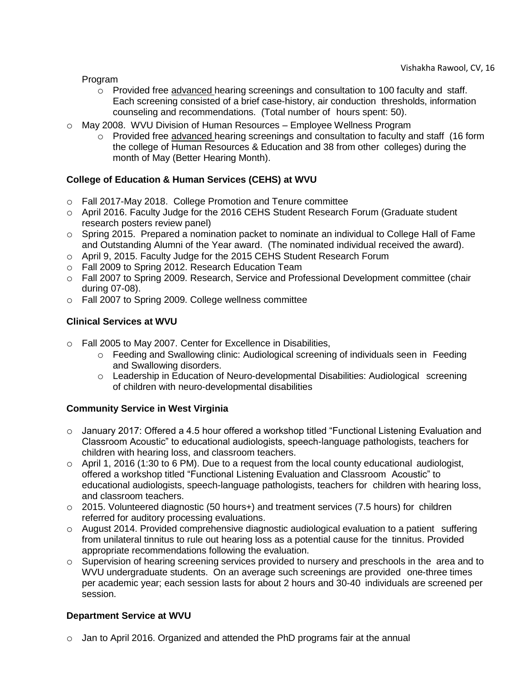Program

- $\circ$  Provided free advanced hearing screenings and consultation to 100 faculty and staff. Each screening consisted of a brief case-history, air conduction thresholds, information counseling and recommendations. (Total number of hours spent: 50).
- o May 2008. WVU Division of Human Resources Employee Wellness Program
	- o Provided free advanced hearing screenings and consultation to faculty and staff (16 form the college of Human Resources & Education and 38 from other colleges) during the month of May (Better Hearing Month).

# <span id="page-15-0"></span>**College of Education & Human Services (CEHS) at WVU**

- o Fall 2017-May 2018. College Promotion and Tenure committee
- o April 2016. Faculty Judge for the 2016 CEHS Student Research Forum (Graduate student research posters review panel)
- $\circ$  Spring 2015. Prepared a nomination packet to nominate an individual to College Hall of Fame and Outstanding Alumni of the Year award. (The nominated individual received the award).
- o April 9, 2015. Faculty Judge for the 2015 CEHS Student Research Forum
- o Fall 2009 to Spring 2012. Research Education Team
- o Fall 2007 to Spring 2009. Research, Service and Professional Development committee (chair during 07-08).
- o Fall 2007 to Spring 2009. College wellness committee

# <span id="page-15-1"></span>**Clinical Services at WVU**

- o Fall 2005 to May 2007. Center for Excellence in Disabilities,
	- o Feeding and Swallowing clinic: Audiological screening of individuals seen in Feeding and Swallowing disorders.
	- o Leadership in Education of Neuro-developmental Disabilities: Audiological screening of children with neuro-developmental disabilities

# <span id="page-15-2"></span>**Community Service in West Virginia**

- o January 2017: Offered a 4.5 hour offered a workshop titled "Functional Listening Evaluation and Classroom Acoustic" to educational audiologists, speech-language pathologists, teachers for children with hearing loss, and classroom teachers.
- o April 1, 2016 (1:30 to 6 PM). Due to a request from the local county educational audiologist, offered a workshop titled "Functional Listening Evaluation and Classroom Acoustic" to educational audiologists, speech-language pathologists, teachers for children with hearing loss, and classroom teachers.
- $\circ$  2015. Volunteered diagnostic (50 hours+) and treatment services (7.5 hours) for children referred for auditory processing evaluations.
- o August 2014. Provided comprehensive diagnostic audiological evaluation to a patient suffering from unilateral tinnitus to rule out hearing loss as a potential cause for the tinnitus. Provided appropriate recommendations following the evaluation.
- $\circ$  Supervision of hearing screening services provided to nursery and preschools in the area and to WVU undergraduate students. On an average such screenings are provided one-three times per academic year; each session lasts for about 2 hours and 30-40 individuals are screened per session.

# <span id="page-15-3"></span>**Department Service at WVU**

o Jan to April 2016. Organized and attended the PhD programs fair at the annual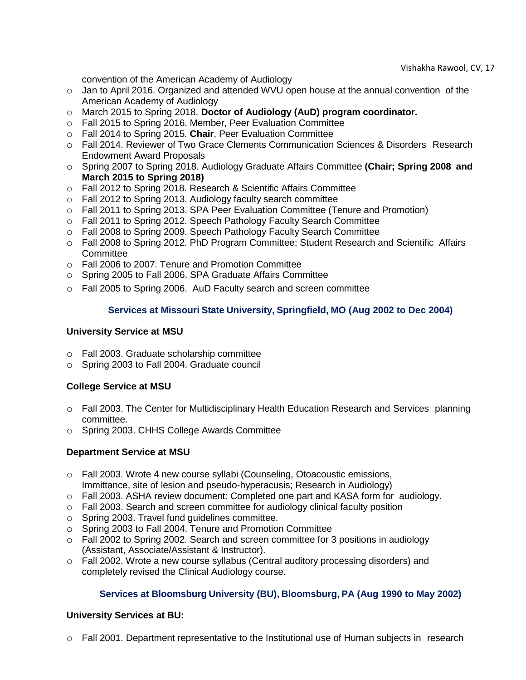convention of the American Academy of Audiology

- o Jan to April 2016. Organized and attended WVU open house at the annual convention of the American Academy of Audiology
- o March 2015 to Spring 2018. **Doctor of Audiology (AuD) program coordinator.**
- o Fall 2015 to Spring 2016. Member, Peer Evaluation Committee
- o Fall 2014 to Spring 2015. **Chair**, Peer Evaluation Committee
- o Fall 2014. Reviewer of Two Grace Clements Communication Sciences & Disorders Research Endowment Award Proposals
- o Spring 2007 to Spring 2018. Audiology Graduate Affairs Committee **(Chair; Spring 2008 and March 2015 to Spring 2018)**
- o Fall 2012 to Spring 2018. Research & Scientific Affairs Committee
- o Fall 2012 to Spring 2013. Audiology faculty search committee
- o Fall 2011 to Spring 2013. SPA Peer Evaluation Committee (Tenure and Promotion)
- o Fall 2011 to Spring 2012. Speech Pathology Faculty Search Committee
- o Fall 2008 to Spring 2009. Speech Pathology Faculty Search Committee
- o Fall 2008 to Spring 2012. PhD Program Committee; Student Research and Scientific Affairs **Committee**
- o Fall 2006 to 2007. Tenure and Promotion Committee
- o Spring 2005 to Fall 2006. SPA Graduate Affairs Committee
- <span id="page-16-0"></span>o Fall 2005 to Spring 2006. AuD Faculty search and screen committee

# **Services at Missouri State University, Springfield, MO (Aug 2002 to Dec 2004)**

## <span id="page-16-1"></span>**University Service at MSU**

- o Fall 2003. Graduate scholarship committee
- o Spring 2003 to Fall 2004. Graduate council

## <span id="page-16-2"></span>**College Service at MSU**

- o Fall 2003. The Center for Multidisciplinary Health Education Research and Services planning committee.
- o Spring 2003. CHHS College Awards Committee

## <span id="page-16-3"></span>**Department Service at MSU**

- o Fall 2003. Wrote 4 new course syllabi (Counseling, Otoacoustic emissions, Immittance, site of lesion and pseudo-hyperacusis; Research in Audiology)
- o Fall 2003. ASHA review document: Completed one part and KASA form for audiology.
- $\circ$  Fall 2003. Search and screen committee for audiology clinical faculty position
- o Spring 2003. Travel fund guidelines committee.
- o Spring 2003 to Fall 2004. Tenure and Promotion Committee
- $\circ$  Fall 2002 to Spring 2002. Search and screen committee for 3 positions in audiology (Assistant, Associate/Assistant & Instructor).
- o Fall 2002. Wrote a new course syllabus (Central auditory processing disorders) and completely revised the Clinical Audiology course.

# **Services at Bloomsburg University (BU), Bloomsburg, PA (Aug 1990 to May 2002)**

## <span id="page-16-5"></span><span id="page-16-4"></span>**University Services at BU:**

 $\circ$  Fall 2001. Department representative to the Institutional use of Human subjects in research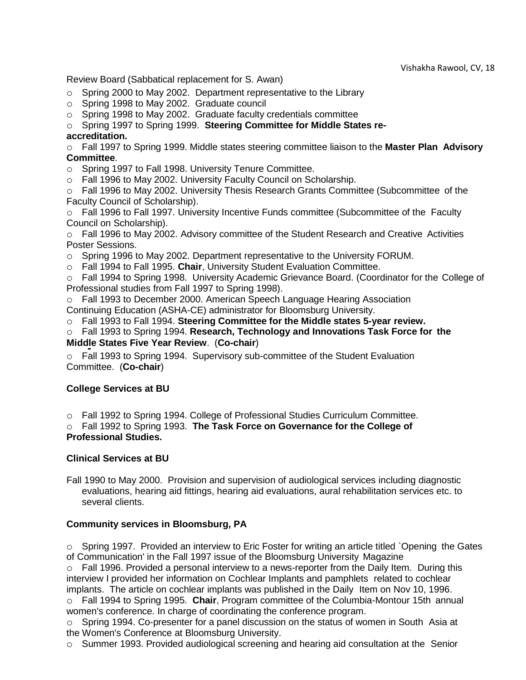Review Board (Sabbatical replacement for S. Awan)

- o Spring 2000 to May 2002. Department representative to the Library
- o Spring 1998 to May 2002. Graduate council
- o Spring 1998 to May 2002. Graduate faculty credentials committee

o Spring 1997 to Spring 1999. **Steering Committee for Middle States re-**

# **accreditation.**

o Fall 1997 to Spring 1999. Middle states steering committee liaison to the **Master Plan Advisory Committee**.

- o Spring 1997 to Fall 1998. University Tenure Committee.
- o Fall 1996 to May 2002. University Faculty Council on Scholarship.

o Fall 1996 to May 2002. University Thesis Research Grants Committee (Subcommittee of the Faculty Council of Scholarship).

o Fall 1996 to Fall 1997. University Incentive Funds committee (Subcommittee of the Faculty Council on Scholarship).

o Fall 1996 to May 2002. Advisory committee of the Student Research and Creative Activities Poster Sessions.

- o Spring 1996 to May 2002. Department representative to the University FORUM.
- o Fall 1994 to Fall 1995. **Chair**, University Student Evaluation Committee.

o Fall 1994 to Spring 1998. University Academic Grievance Board. (Coordinator for the College of Professional studies from Fall 1997 to Spring 1998).

o Fall 1993 to December 2000. American Speech Language Hearing Association Continuing Education (ASHA-CE) administrator for Bloomsburg University.

o Fall 1993 to Fall 1994. **Steering Committee for the Middle states 5-year review.**

o Fall 1993 to Spring 1994. **Research, Technology and Innovations Task Force for the Middle States Five Year Review**. (**Co-chair**)

o Fall 1993 to Spring 1994. Supervisory sub-committee of the Student Evaluation Committee. (**Co-chair**)

# <span id="page-17-0"></span>**College Services at BU**

o Fall 1992 to Spring 1994. College of Professional Studies Curriculum Committee.

o Fall 1992 to Spring 1993. **The Task Force on Governance for the College of Professional Studies.**

## <span id="page-17-1"></span>**Clinical Services at BU**

Fall 1990 to May 2000. Provision and supervision of audiological services including diagnostic evaluations, hearing aid fittings, hearing aid evaluations, aural rehabilitation services etc. to several clients.

# <span id="page-17-2"></span>**Community services in Bloomsburg, PA**

o Spring 1997. Provided an interview to Eric Foster for writing an article titled `Opening the Gates of Communication' in the Fall 1997 issue of the Bloomsburg University Magazine

 $\circ$  Fall 1996. Provided a personal interview to a news-reporter from the Daily Item. During this interview I provided her information on Cochlear Implants and pamphlets related to cochlear implants. The article on cochlear implants was published in the Daily Item on Nov 10, 1996.

o Fall 1994 to Spring 1995. **Chair**, Program committee of the Columbia-Montour 15th annual women's conference. In charge of coordinating the conference program.

 $\circ$  Spring 1994. Co-presenter for a panel discussion on the status of women in South Asia at the Women's Conference at Bloomsburg University.

 $\circ$  Summer 1993. Provided audiological screening and hearing aid consultation at the Senior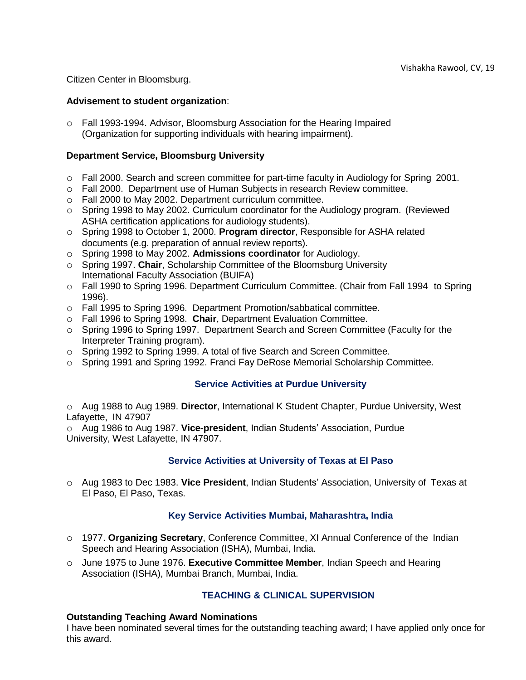Citizen Center in Bloomsburg.

## <span id="page-18-0"></span>**Advisement to student organization**:

o Fall 1993-1994. Advisor, Bloomsburg Association for the Hearing Impaired (Organization for supporting individuals with hearing impairment).

## <span id="page-18-1"></span>**Department Service, Bloomsburg University**

- $\circ$  Fall 2000. Search and screen committee for part-time faculty in Audiology for Spring 2001.
- o Fall 2000. Department use of Human Subjects in research Review committee.
- o Fall 2000 to May 2002. Department curriculum committee.
- $\circ$  Spring 1998 to May 2002. Curriculum coordinator for the Audiology program. (Reviewed ASHA certification applications for audiology students).
- o Spring 1998 to October 1, 2000. **Program director**, Responsible for ASHA related documents (e.g. preparation of annual review reports).
- o Spring 1998 to May 2002. **Admissions coordinator** for Audiology.
- o Spring 1997. **Chair**, Scholarship Committee of the Bloomsburg University International Faculty Association (BUIFA)
- o Fall 1990 to Spring 1996. Department Curriculum Committee. (Chair from Fall 1994 to Spring 1996).
- o Fall 1995 to Spring 1996. Department Promotion/sabbatical committee.
- o Fall 1996 to Spring 1998. **Chair**, Department Evaluation Committee.
- o Spring 1996 to Spring 1997. Department Search and Screen Committee (Faculty for the Interpreter Training program).
- o Spring 1992 to Spring 1999. A total of five Search and Screen Committee.
- <span id="page-18-2"></span>o Spring 1991 and Spring 1992. Franci Fay DeRose Memorial Scholarship Committee.

## **Service Activities at Purdue University**

o Aug 1988 to Aug 1989. **Director**, International K Student Chapter, Purdue University, West Lafayette, IN 47907

o Aug 1986 to Aug 1987. **Vice-president**, Indian Students' Association, Purdue University, West Lafayette, IN 47907.

# **Service Activities at University of Texas at El Paso**

<span id="page-18-3"></span>o Aug 1983 to Dec 1983. **Vice President**, Indian Students' Association, University of Texas at El Paso, El Paso, Texas.

# **Key Service Activities Mumbai, Maharashtra, India**

- <span id="page-18-4"></span>o 1977. **Organizing Secretary**, Conference Committee, XI Annual Conference of the Indian Speech and Hearing Association (ISHA), Mumbai, India.
- o June 1975 to June 1976. **Executive Committee Member**, Indian Speech and Hearing Association (ISHA), Mumbai Branch, Mumbai, India.

# **TEACHING & CLINICAL SUPERVISION**

## <span id="page-18-6"></span><span id="page-18-5"></span>**Outstanding Teaching Award Nominations**

I have been nominated several times for the outstanding teaching award; I have applied only once for this award.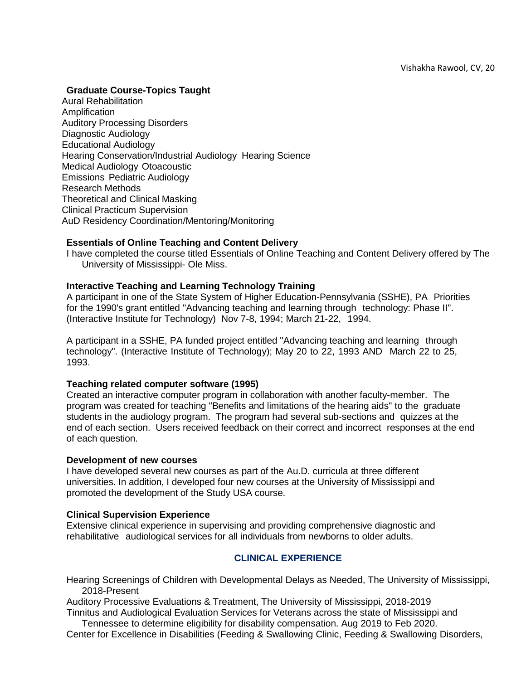## <span id="page-19-0"></span>**Graduate Course-Topics Taught**

Aural Rehabilitation Amplification Auditory Processing Disorders Diagnostic Audiology Educational Audiology Hearing Conservation/Industrial Audiology Hearing Science Medical Audiology Otoacoustic Emissions Pediatric Audiology Research Methods Theoretical and Clinical Masking Clinical Practicum Supervision AuD Residency Coordination/Mentoring/Monitoring

## <span id="page-19-1"></span>**Essentials of Online Teaching and Content Delivery**

I have completed the course titled Essentials of Online Teaching and Content Delivery offered by The University of Mississippi- Ole Miss.

## <span id="page-19-2"></span>**Interactive Teaching and Learning Technology Training**

A participant in one of the State System of Higher Education-Pennsylvania (SSHE), PA Priorities for the 1990's grant entitled "Advancing teaching and learning through technology: Phase II". (Interactive Institute for Technology) Nov 7-8, 1994; March 21-22, 1994.

A participant in a SSHE, PA funded project entitled "Advancing teaching and learning through technology". (Interactive Institute of Technology); May 20 to 22, 1993 AND March 22 to 25, 1993.

## <span id="page-19-3"></span>**Teaching related computer software (1995)**

Created an interactive computer program in collaboration with another faculty-member. The program was created for teaching "Benefits and limitations of the hearing aids" to the graduate students in the audiology program. The program had several sub-sections and quizzes at the end of each section. Users received feedback on their correct and incorrect responses at the end of each question.

## <span id="page-19-4"></span>**Development of new courses**

I have developed several new courses as part of the Au.D. curricula at three different universities. In addition, I developed four new courses at the University of Mississippi and promoted the development of the Study USA course.

## <span id="page-19-5"></span>**Clinical Supervision Experience**

Extensive clinical experience in supervising and providing comprehensive diagnostic and rehabilitative audiological services for all individuals from newborns to older adults.

# **CLINICAL EXPERIENCE**

<span id="page-19-6"></span>Hearing Screenings of Children with Developmental Delays as Needed, The University of Mississippi, 2018-Present

Auditory Processive Evaluations & Treatment, The University of Mississippi, 2018-2019 Tinnitus and Audiological Evaluation Services for Veterans across the state of Mississippi and

Tennessee to determine eligibility for disability compensation. Aug 2019 to Feb 2020. Center for Excellence in Disabilities (Feeding & Swallowing Clinic, Feeding & Swallowing Disorders,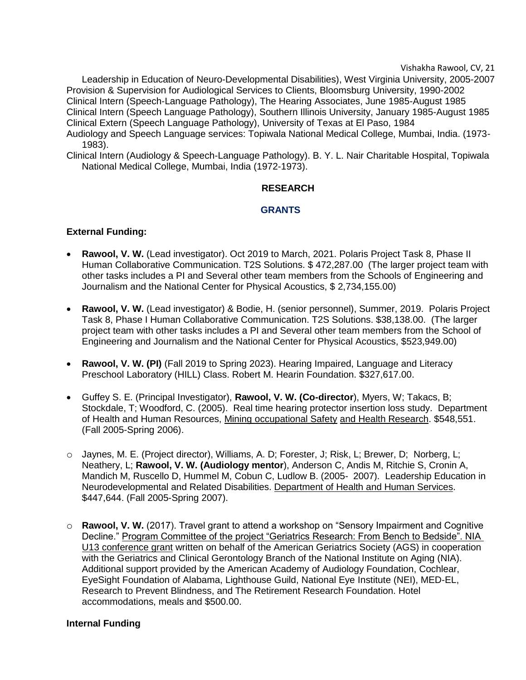Leadership in Education of Neuro-Developmental Disabilities), West Virginia University, 2005-2007 Provision & Supervision for Audiological Services to Clients, Bloomsburg University, 1990-2002 Clinical Intern (Speech-Language Pathology), The Hearing Associates, June 1985-August 1985 Clinical Intern (Speech Language Pathology), Southern Illinois University, January 1985-August 1985 Clinical Extern (Speech Language Pathology), University of Texas at El Paso, 1984 Audiology and Speech Language services: Topiwala National Medical College, Mumbai, India. (1973-

<span id="page-20-0"></span>1983). Clinical Intern (Audiology & Speech-Language Pathology). B. Y. L. Nair Charitable Hospital, Topiwala National Medical College, Mumbai, India (1972-1973).

## **RESEARCH**

## **GRANTS**

## <span id="page-20-2"></span><span id="page-20-1"></span>**External Funding:**

- **Rawool, V. W.** (Lead investigator). Oct 2019 to March, 2021. Polaris Project Task 8, Phase II Human Collaborative Communication. T2S Solutions. \$ 472,287.00 (The larger project team with other tasks includes a PI and Several other team members from the Schools of Engineering and Journalism and the National Center for Physical Acoustics, \$ 2,734,155.00)
- **Rawool, V. W.** (Lead investigator) & Bodie, H. (senior personnel), Summer, 2019. Polaris Project Task 8, Phase I Human Collaborative Communication. T2S Solutions. \$38,138.00. (The larger project team with other tasks includes a PI and Several other team members from the School of Engineering and Journalism and the National Center for Physical Acoustics, \$523,949.00)
- **Rawool, V. W. (PI)** (Fall 2019 to Spring 2023). Hearing Impaired, Language and Literacy Preschool Laboratory (HILL) Class. Robert M. Hearin Foundation. \$327,617.00.
- Guffey S. E. (Principal Investigator), **Rawool, V. W. (Co-director**), Myers, W; Takacs, B; Stockdale, T; Woodford, C. (2005). Real time hearing protector insertion loss study. Department of Health and Human Resources, Mining occupational Safety and Health Research. \$548,551. (Fall 2005-Spring 2006).
- o Jaynes, M. E. (Project director), Williams, A. D; Forester, J; Risk, L; Brewer, D; Norberg, L; Neathery, L; **Rawool, V. W. (Audiology mentor**), Anderson C, Andis M, Ritchie S, Cronin A, Mandich M, Ruscello D, Hummel M, Cobun C, Ludlow B. (2005- 2007). Leadership Education in Neurodevelopmental and Related Disabilities. Department of Health and Human Services. \$447,644. (Fall 2005-Spring 2007).
- o **Rawool, V. W.** (2017). Travel grant to attend a workshop on "Sensory Impairment and Cognitive Decline." Program Committee of the project "Geriatrics Research: From Bench to Bedside". NIA U13 conference grant written on behalf of the American Geriatrics Society (AGS) in cooperation with the Geriatrics and Clinical Gerontology Branch of the National Institute on Aging (NIA). Additional support provided by the American Academy of Audiology Foundation, Cochlear, EyeSight Foundation of Alabama, Lighthouse Guild, National Eye Institute (NEI), MED-EL, Research to Prevent Blindness, and The Retirement Research Foundation. Hotel accommodations, meals and \$500.00.

## <span id="page-20-3"></span>**Internal Funding**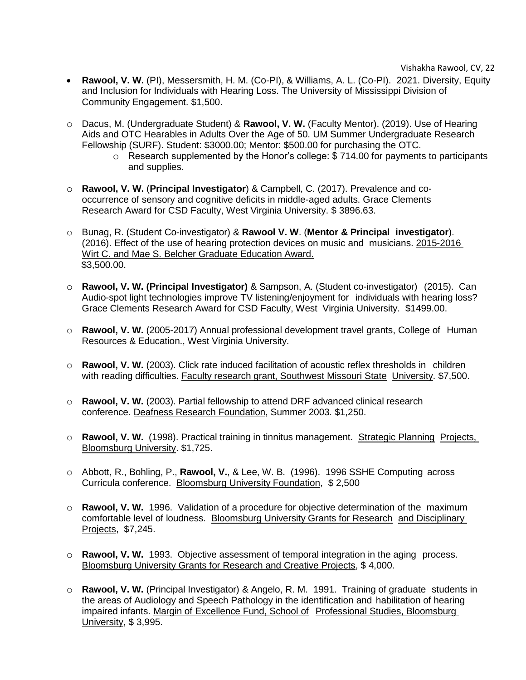- **Rawool, V. W.** (PI), Messersmith, H. M. (Co-PI), & Williams, A. L. (Co-PI). 2021. Diversity, Equity and Inclusion for Individuals with Hearing Loss. The University of Mississippi Division of Community Engagement. \$1,500.
- o Dacus, M. (Undergraduate Student) & **Rawool, V. W.** (Faculty Mentor). (2019). Use of Hearing Aids and OTC Hearables in Adults Over the Age of 50. UM Summer Undergraduate Research Fellowship (SURF). Student: \$3000.00; Mentor: \$500.00 for purchasing the OTC.
	- o Research supplemented by the Honor's college: \$ 714.00 for payments to participants and supplies.
- o **Rawool, V. W.** (**Principal Investigator**) & Campbell, C. (2017). Prevalence and cooccurrence of sensory and cognitive deficits in middle-aged adults. Grace Clements Research Award for CSD Faculty, West Virginia University. \$ 3896.63.
- o Bunag, R. (Student Co-investigator) & **Rawool V. W**. (**Mentor & Principal investigator**). (2016). Effect of the use of hearing protection devices on music and musicians. 2015-2016 Wirt C. and Mae S. Belcher Graduate Education Award.  $\overline{$3,500.00}$ .
- o **Rawool, V. W. (Principal Investigator)** & Sampson, A. (Student co-investigator) (2015). Can Audio-spot light technologies improve TV listening/enjoyment for individuals with hearing loss? Grace Clements Research Award for CSD Faculty, West Virginia University. \$1499.00.
- o **Rawool, V. W.** (2005-2017) Annual professional development travel grants, College of Human Resources & Education., West Virginia University.
- o **Rawool, V. W.** (2003). Click rate induced facilitation of acoustic reflex thresholds in children with reading difficulties. Faculty research grant, Southwest Missouri State University. \$7,500.
- o **Rawool, V. W.** (2003). Partial fellowship to attend DRF advanced clinical research conference. Deafness Research Foundation, Summer 2003. \$1,250.
- o **Rawool, V. W.** (1998). Practical training in tinnitus management. Strategic Planning Projects, Bloomsburg University. \$1,725.
- o Abbott, R., Bohling, P., **Rawool, V.**, & Lee, W. B. (1996). 1996 SSHE Computing across Curricula conference. Bloomsburg University Foundation, \$ 2,500
- o **Rawool, V. W.** 1996. Validation of a procedure for objective determination of the maximum comfortable level of loudness. Bloomsburg University Grants for Research and Disciplinary Projects, \$7,245.
- o **Rawool, V. W.** 1993. Objective assessment of temporal integration in the aging process. Bloomsburg University Grants for Research and Creative Projects, \$ 4,000.
- o **Rawool, V. W.** (Principal Investigator) & Angelo, R. M. 1991. Training of graduate students in the areas of Audiology and Speech Pathology in the identification and habilitation of hearing impaired infants. Margin of Excellence Fund, School of Professional Studies, Bloomsburg University, \$ 3,995.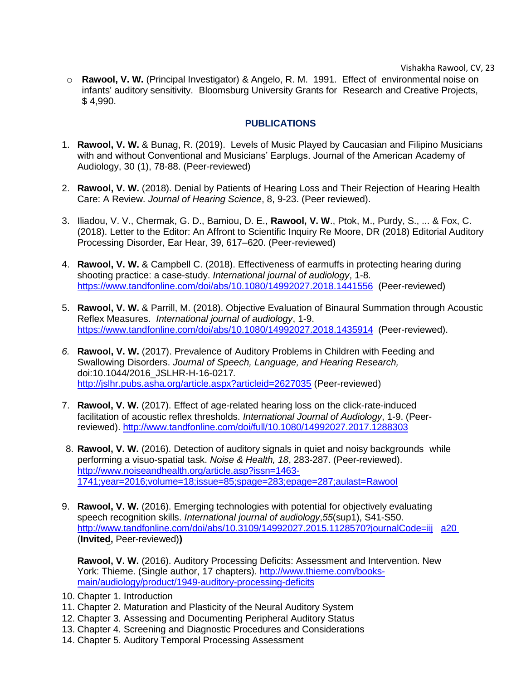o **Rawool, V. W.** (Principal Investigator) & Angelo, R. M. 1991. Effect of environmental noise on infants' auditory sensitivity. Bloomsburg University Grants for Research and Creative Projects, \$ 4,990.

# **PUBLICATIONS**

- <span id="page-22-0"></span>1. **Rawool, V. W.** & Bunag, R. (2019). Levels of Music Played by Caucasian and Filipino Musicians with and without Conventional and Musicians' Earplugs. Journal of the American Academy of Audiology, 30 (1), 78-88. (Peer-reviewed)
- 2. **Rawool, V. W.** (2018). Denial by Patients of Hearing Loss and Their Rejection of Hearing Health Care: A Review. *Journal of Hearing Science*, 8, 9-23. (Peer reviewed).
- 3. Iliadou, V. V., Chermak, G. D., Bamiou, D. E., **Rawool, V. W**., Ptok, M., Purdy, S., ... & Fox, C. (2018). Letter to the Editor: An Affront to Scientific Inquiry Re Moore, DR (2018) Editorial Auditory Processing Disorder, Ear Hear, 39, 617–620. (Peer-reviewed)
- 4. **Rawool, V. W.** & Campbell C. (2018). Effectiveness of earmuffs in protecting hearing during shooting practice: a case-study. *International journal of audiology*, 1-8. <https://www.tandfonline.com/doi/abs/10.1080/14992027.2018.1441556>(Peer-reviewed)
- 5. **Rawool, V. W.** & Parrill, M. (2018). Objective Evaluation of Binaural Summation through Acoustic Reflex Measures. *International journal of audiology*, 1-9. <https://www.tandfonline.com/doi/abs/10.1080/14992027.2018.1435914>(Peer-reviewed).
- *6.* **Rawool, V. W.** (2017). Prevalence of Auditory Problems in Children with Feeding and Swallowing Disorders. *Journal of Speech, Language, and Hearing Research,*  doi:10.1044/2016\_JSLHR-H-16-0217*.*  <http://jslhr.pubs.asha.org/article.aspx?articleid=2627035> (Peer-reviewed)
- 7. **Rawool, V. W.** (2017). Effect of age-related hearing loss on the click-rate-induced facilitation of acoustic reflex thresholds. *International Journal of Audiology*, 1-9. (Peerreviewed).<http://www.tandfonline.com/doi/full/10.1080/14992027.2017.1288303>
- 8. **Rawool, V. W.** (2016). Detection of auditory signals in quiet and noisy backgrounds while performing a visuo-spatial task. *Noise & Health, 18*, 283-287. (Peer-reviewed). [http://www.noiseandhealth.org/article.asp?issn=1463-](http://www.noiseandhealth.org/article.asp?issn=1463-1741;year=2016;volume=18;issue=85;spage=283;epage=287;aulast=Rawool) [1741;year=2016;volume=18;issue=85;spage=283;epage=287;aulast=Rawool](http://www.noiseandhealth.org/article.asp?issn=1463-1741;year=2016;volume=18;issue=85;spage=283;epage=287;aulast=Rawool)
- 9. **Rawool, V. W.** (2016). Emerging technologies with potential for objectively evaluating speech recognition skills. *International journal of audiology*,*55*(sup1), S41-S50. [http://www.tandfonline.com/doi/abs/10.3109/14992027.2015.1128570?journalCode=iij a20](http://www.tandfonline.com/doi/abs/10.3109/14992027.2015.1128570?journalCode=iija20) (**Invited,** Peer-reviewed)**)**

**Rawool, V. W.** (2016). Auditory Processing Deficits: Assessment and Intervention. New York: Thieme. (Single author, 17 chapters). [http://www.thieme.com/books](http://www.thieme.com/books-main/audiology/product/1949-auditory-processing-deficits)[main/audiology/product/1949-auditory-processing-deficits](http://www.thieme.com/books-main/audiology/product/1949-auditory-processing-deficits)

- 10. Chapter 1. Introduction
- 11. Chapter 2. Maturation and Plasticity of the Neural Auditory System
- 12. Chapter 3. Assessing and Documenting Peripheral Auditory Status
- 13. Chapter 4. Screening and Diagnostic Procedures and Considerations
- 14. Chapter 5. Auditory Temporal Processing Assessment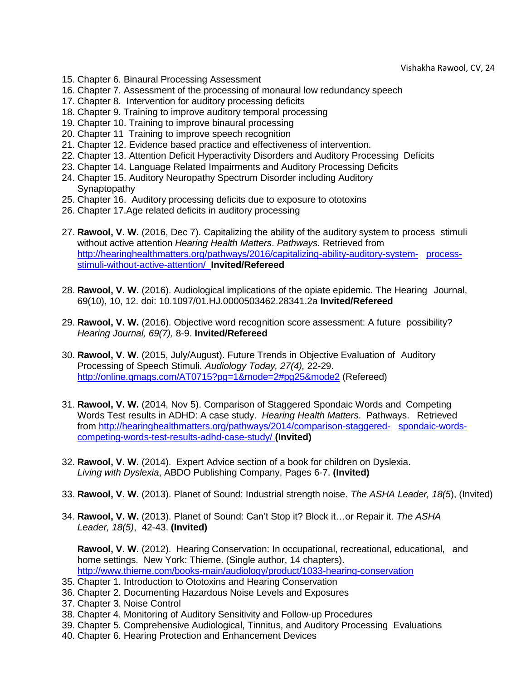- 15. Chapter 6. Binaural Processing Assessment
- 16. Chapter 7. Assessment of the processing of monaural low redundancy speech
- 17. Chapter 8. Intervention for auditory processing deficits
- 18. Chapter 9. Training to improve auditory temporal processing
- 19. Chapter 10. Training to improve binaural processing
- 20. Chapter 11 Training to improve speech recognition
- 21. Chapter 12. Evidence based practice and effectiveness of intervention.
- 22. Chapter 13. Attention Deficit Hyperactivity Disorders and Auditory Processing Deficits
- 23. Chapter 14. Language Related Impairments and Auditory Processing Deficits
- 24. Chapter 15. Auditory Neuropathy Spectrum Disorder including Auditory **Synaptopathy**
- 25. Chapter 16. Auditory processing deficits due to exposure to ototoxins
- 26. Chapter 17.Age related deficits in auditory processing
- 27. **Rawool, V. W.** (2016, Dec 7). Capitalizing the ability of the auditory system to process stimuli without active attention *Hearing Health Matters*. *Pathways.* Retrieved from [http://hearinghealthmatters.org/pathways/2016/capitalizing-ability-auditory-system- process](http://hearinghealthmatters.org/pathways/2016/capitalizing-ability-auditory-system-process-stimuli-without-active-attention/)[stimuli-without-active-attention/](http://hearinghealthmatters.org/pathways/2016/capitalizing-ability-auditory-system-process-stimuli-without-active-attention/) **Invited/Refereed**
- 28. **Rawool, V. W.** (2016). Audiological implications of the opiate epidemic. The Hearing Journal, 69(10), 10, 12. doi: 10.1097/01.HJ.0000503462.28341.2a **Invited/Refereed**
- 29. **Rawool, V. W.** (2016). Objective word recognition score assessment: A future possibility? *Hearing Journal, 69(7),* 8-9. **Invited/Refereed**
- 30. **Rawool, V. W.** (2015, July/August). Future Trends in Objective Evaluation of Auditory Processing of Speech Stimuli. *Audiology Today, 27(4),* 22-29. [http://online.qmags.com/AT0715?pg=1&mode=2#pg25&mode2](http://online.qmags.com/AT0715?pg=1&mode=2%23pg25&mode2) (Refereed)
- 31. **Rawool, V. W.** (2014, Nov 5). Comparison of Staggered Spondaic Words and Competing Words Test results in ADHD: A case study. *Hearing Health Matters*. Pathways. Retrieved from [http://hearinghealthmatters.org/pathways/2014/comparison-staggered- spondaic-words](http://hearinghealthmatters.org/pathways/2014/comparison-staggered-spondaic-words-competing-words-test-results-adhd-case-study/)[competing-words-test-results-adhd-case-study/](http://hearinghealthmatters.org/pathways/2014/comparison-staggered-spondaic-words-competing-words-test-results-adhd-case-study/) **(Invited)**
- 32. **Rawool, V. W.** (2014). Expert Advice section of a book for children on Dyslexia. *Living with Dyslexia*, ABDO Publishing Company, Pages 6-7. **(Invited)**
- 33. **Rawool, V. W.** (2013). Planet of Sound: Industrial strength noise. *The ASHA Leader, 18(5*), (Invited)
- 34. **Rawool, V. W.** (2013). Planet of Sound: Can't Stop it? Block it…or Repair it. *The ASHA Leader, 18(5)*, 42-43. **(Invited)**

**Rawool, V. W.** (2012). Hearing Conservation: In occupational, recreational, educational, and home settings. New York: Thieme. (Single author, 14 chapters). <http://www.thieme.com/books-main/audiology/product/1033-hearing-conservation>

- 35. Chapter 1. Introduction to Ototoxins and Hearing Conservation
- 36. Chapter 2. Documenting Hazardous Noise Levels and Exposures
- 37. Chapter 3. Noise Control
- 38. Chapter 4. Monitoring of Auditory Sensitivity and Follow-up Procedures
- 39. Chapter 5. Comprehensive Audiological, Tinnitus, and Auditory Processing Evaluations
- 40. Chapter 6. Hearing Protection and Enhancement Devices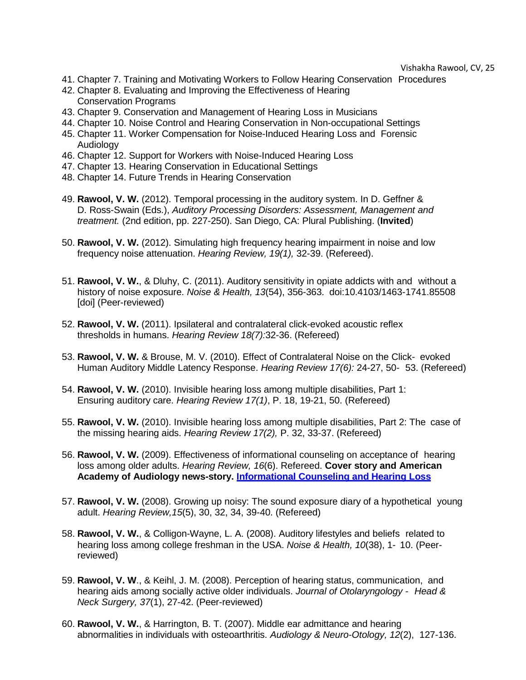- 41. Chapter 7. Training and Motivating Workers to Follow Hearing Conservation Procedures
- 42. Chapter 8. Evaluating and Improving the Effectiveness of Hearing Conservation Programs
- 43. Chapter 9. Conservation and Management of Hearing Loss in Musicians
- 44. Chapter 10. Noise Control and Hearing Conservation in Non-occupational Settings 45. Chapter 11. Worker Compensation for Noise-Induced Hearing Loss and Forensic
- **Audiology**
- 46. Chapter 12. Support for Workers with Noise-Induced Hearing Loss
- 47. Chapter 13. Hearing Conservation in Educational Settings
- 48. Chapter 14. Future Trends in Hearing Conservation
- 49. **Rawool, V. W.** (2012). Temporal processing in the auditory system. In D. Geffner & D. Ross-Swain (Eds.), *Auditory Processing Disorders: Assessment, Management and treatment.* (2nd edition, pp. 227-250). San Diego, CA: Plural Publishing. (**Invited**)
- 50. **Rawool, V. W.** (2012). Simulating high frequency hearing impairment in noise and low frequency noise attenuation. *Hearing Review, 19(1),* 32-39. (Refereed).
- 51. **Rawool, V. W.**, & Dluhy, C. (2011). Auditory sensitivity in opiate addicts with and without a history of noise exposure. *Noise & Health, 13*(54), 356-363. doi:10.4103/1463-1741.85508 [doi] (Peer-reviewed)
- 52. **Rawool, V. W.** (2011). Ipsilateral and contralateral click-evoked acoustic reflex thresholds in humans. *Hearing Review 18(7):*32-36. (Refereed)
- 53. **Rawool, V. W.** & Brouse, M. V. (2010). Effect of Contralateral Noise on the Click- evoked Human Auditory Middle Latency Response. *Hearing Review 17(6):* 24-27, 50- 53. (Refereed)
- 54. **Rawool, V. W.** (2010). Invisible hearing loss among multiple disabilities, Part 1: Ensuring auditory care. *Hearing Review 17(1)*, P. 18, 19-21, 50. (Refereed)
- 55. **Rawool, V. W.** (2010). Invisible hearing loss among multiple disabilities, Part 2: The case of the missing hearing aids. *Hearing Review 17(2),* P. 32, 33-37. (Refereed)
- 56. **Rawool, V. W.** (2009). Effectiveness of informational counseling on acceptance of hearing loss among older adults. *Hearing Review, 16*(6). Refereed. **Cover story and American Academy of Audiology news-story. [Informational](http://www.audiology.org/news/Pages/20090727a.aspx) Counseling and Hearing Loss**
- 57. **Rawool, V. W.** (2008). Growing up noisy: The sound exposure diary of a hypothetical young adult. *Hearing Review,15*(5), 30, 32, 34, 39-40. (Refereed)
- 58. **Rawool, V. W.**, & Colligon-Wayne, L. A. (2008). Auditory lifestyles and beliefs related to hearing loss among college freshman in the USA. *Noise & Health, 10*(38), 1- 10. (Peerreviewed)
- 59. **Rawool, V. W**., & Keihl, J. M. (2008). Perception of hearing status, communication, and hearing aids among socially active older individuals. *Journal of Otolaryngology - Head & Neck Surgery, 37*(1), 27-42. (Peer-reviewed)
- 60. **Rawool, V. W.**, & Harrington, B. T. (2007). Middle ear admittance and hearing abnormalities in individuals with osteoarthritis. *Audiology & Neuro-Otology, 12*(2), 127-136.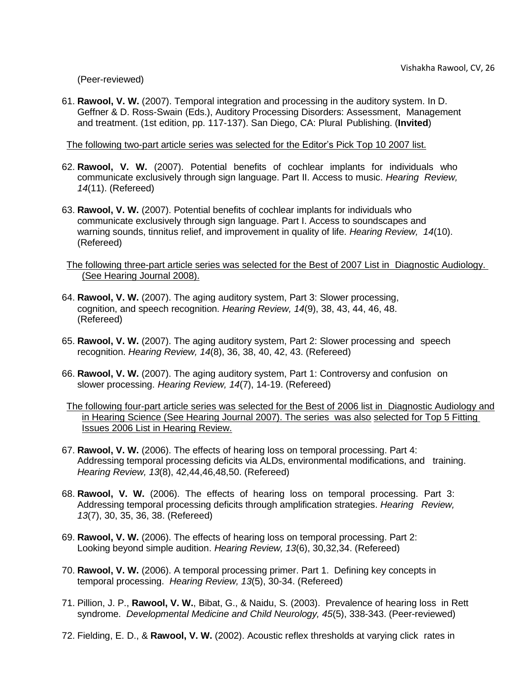(Peer-reviewed)

61. **Rawool, V. W.** (2007). Temporal integration and processing in the auditory system. In D. Geffner & D. Ross-Swain (Eds.), Auditory Processing Disorders: Assessment, Management and treatment. (1st edition, pp. 117-137). San Diego, CA: Plural Publishing. (**Invited**)

The following two-part article series was selected for the Editor's Pick Top 10 2007 list.

- 62. **Rawool, V. W.** (2007). Potential benefits of cochlear implants for individuals who communicate exclusively through sign language. Part II. Access to music. *Hearing Review, 14*(11). (Refereed)
- 63. **Rawool, V. W.** (2007). Potential benefits of cochlear implants for individuals who communicate exclusively through sign language. Part I. Access to soundscapes and warning sounds, tinnitus relief, and improvement in quality of life. *Hearing Review, 14*(10). (Refereed)

The following three-part article series was selected for the Best of 2007 List in Diagnostic Audiology. (See Hearing Journal 2008).

- 64. **Rawool, V. W.** (2007). The aging auditory system, Part 3: Slower processing, cognition, and speech recognition. *Hearing Review, 14*(9), 38, 43, 44, 46, 48. (Refereed)
- 65. **Rawool, V. W.** (2007). The aging auditory system, Part 2: Slower processing and speech recognition. *Hearing Review, 14*(8), 36, 38, 40, 42, 43. (Refereed)
- 66. **Rawool, V. W.** (2007). The aging auditory system, Part 1: Controversy and confusion on slower processing. *Hearing Review, 14*(7), 14-19. (Refereed)

The following four-part article series was selected for the Best of 2006 list in Diagnostic Audiology and in Hearing Science (See Hearing Journal 2007). The series was also selected for Top 5 Fitting Issues 2006 List in Hearing Review.

- 67. **Rawool, V. W.** (2006). The effects of hearing loss on temporal processing. Part 4: Addressing temporal processing deficits via ALDs, environmental modifications, and training. *Hearing Review, 13*(8), 42,44,46,48,50. (Refereed)
- 68. **Rawool, V. W.** (2006). The effects of hearing loss on temporal processing. Part 3: Addressing temporal processing deficits through amplification strategies. *Hearing Review, 13*(7), 30, 35, 36, 38. (Refereed)
- 69. **Rawool, V. W.** (2006). The effects of hearing loss on temporal processing. Part 2: Looking beyond simple audition. *Hearing Review, 13*(6), 30,32,34. (Refereed)
- 70. **Rawool, V. W.** (2006). A temporal processing primer. Part 1. Defining key concepts in temporal processing. *Hearing Review, 13*(5), 30-34. (Refereed)
- 71. Pillion, J. P., **Rawool, V. W.**, Bibat, G., & Naidu, S. (2003). Prevalence of hearing loss in Rett syndrome. *Developmental Medicine and Child Neurology, 45*(5), 338-343. (Peer-reviewed)
- 72. Fielding, E. D., & **Rawool, V. W.** (2002). Acoustic reflex thresholds at varying click rates in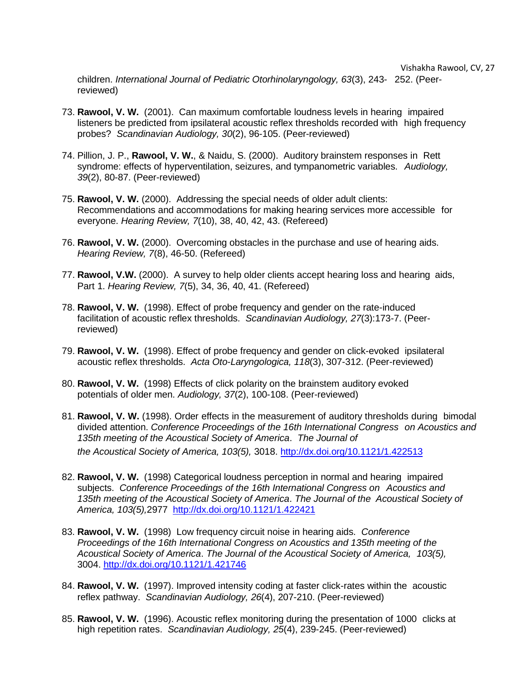children. *International Journal of Pediatric Otorhinolaryngology, 63*(3), 243- 252. (Peerreviewed)

- 73. **Rawool, V. W.** (2001). Can maximum comfortable loudness levels in hearing impaired listeners be predicted from ipsilateral acoustic reflex thresholds recorded with high frequency probes? *Scandinavian Audiology, 30*(2), 96-105. (Peer-reviewed)
- 74. Pillion, J. P., **Rawool, V. W.**, & Naidu, S. (2000). Auditory brainstem responses in Rett syndrome: effects of hyperventilation, seizures, and tympanometric variables. *Audiology, 39*(2), 80-87. (Peer-reviewed)
- 75. **Rawool, V. W.** (2000). Addressing the special needs of older adult clients: Recommendations and accommodations for making hearing services more accessible for everyone. *Hearing Review, 7*(10), 38, 40, 42, 43. (Refereed)
- 76. **Rawool, V. W.** (2000). Overcoming obstacles in the purchase and use of hearing aids. *Hearing Review, 7*(8), 46-50. (Refereed)
- 77. **Rawool, V.W.** (2000). A survey to help older clients accept hearing loss and hearing aids, Part 1. *Hearing Review, 7*(5), 34, 36, 40, 41. (Refereed)
- 78. **Rawool, V. W.** (1998). Effect of probe frequency and gender on the rate-induced facilitation of acoustic reflex thresholds. *Scandinavian Audiology, 27*(3):173-7. (Peerreviewed)
- 79. **Rawool, V. W.** (1998). Effect of probe frequency and gender on click-evoked ipsilateral acoustic reflex thresholds. *Acta Oto-Laryngologica, 118*(3), 307-312. (Peer-reviewed)
- 80. **Rawool, V. W.** (1998) Effects of click polarity on the brainstem auditory evoked potentials of older men. *Audiology, 37*(2), 100-108. (Peer-reviewed)
- 81. **Rawool, V. W.** (1998). Order effects in the measurement of auditory thresholds during bimodal divided attention. *Conference Proceedings of the 16th International Congress on Acoustics and 135th meeting of the Acoustical Society of America*. *The Journal of*

*the Acoustical Society of America, 103(5),* 3018.<http://dx.doi.org/10.1121/1.422513>

- 82. **Rawool, V. W.** (1998) Categorical loudness perception in normal and hearing impaired subjects. *Conference Proceedings of the 16th International Congress on Acoustics and 135th meeting of the Acoustical Society of America*. *The Journal of the Acoustical Society of America, 103(5),*2977 <http://dx.doi.org/10.1121/1.422421>
- 83. **Rawool, V. W.** (1998) Low frequency circuit noise in hearing aids. *Conference Proceedings of the 16th International Congress on Acoustics and 135th meeting of the Acoustical Society of America*. *The Journal of the Acoustical Society of America, 103(5),*  3004.<http://dx.doi.org/10.1121/1.421746>
- 84. **Rawool, V. W.** (1997). Improved intensity coding at faster click-rates within the acoustic reflex pathway. *Scandinavian Audiology, 26*(4), 207-210. (Peer-reviewed)
- 85. **Rawool, V. W.** (1996). Acoustic reflex monitoring during the presentation of 1000 clicks at high repetition rates. *Scandinavian Audiology, 25*(4), 239-245. (Peer-reviewed)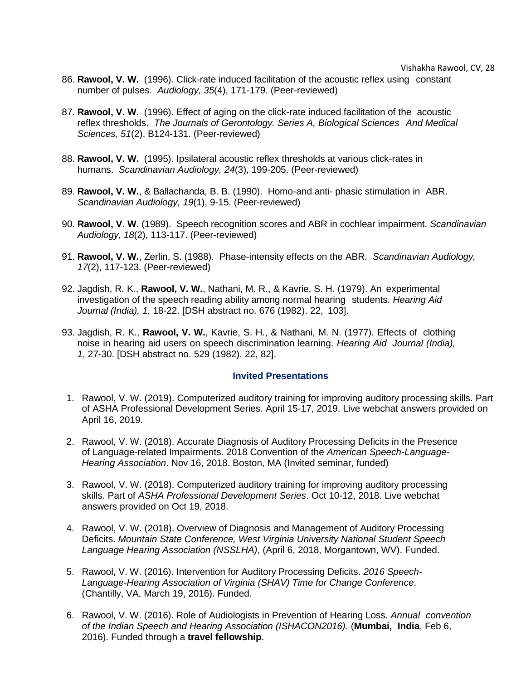- 86. **Rawool, V. W.** (1996). Click-rate induced facilitation of the acoustic reflex using constant number of pulses. *Audiology, 35*(4), 171-179. (Peer-reviewed)
- 87. **Rawool, V. W.** (1996). Effect of aging on the click-rate induced facilitation of the acoustic reflex thresholds. *The Journals of Gerontology. Series A, Biological Sciences And Medical Sciences, 51*(2), B124-131. (Peer-reviewed)
- 88. **Rawool, V. W.** (1995). Ipsilateral acoustic reflex thresholds at various click-rates in humans. *Scandinavian Audiology, 24*(3), 199-205. (Peer-reviewed)
- 89. **Rawool, V. W.**, & Ballachanda, B. B. (1990). Homo-and anti- phasic stimulation in ABR. *Scandinavian Audiology, 19*(1), 9-15. (Peer-reviewed)
- 90. **Rawool, V. W.** (1989). Speech recognition scores and ABR in cochlear impairment. *Scandinavian Audiology, 18*(2), 113-117. (Peer-reviewed)
- 91. **Rawool, V. W.**, Zerlin, S. (1988). Phase-intensity effects on the ABR. *Scandinavian Audiology, 17*(2), 117-123. (Peer-reviewed)
- 92. Jagdish, R. K., **Rawool, V. W.**, Nathani, M. R., & Kavrie, S. H. (1979). An experimental investigation of the speech reading ability among normal hearing students. *Hearing Aid Journal (India), 1*, 18-22. [DSH abstract no. 676 (1982). 22, 103].
- 93. Jagdish, R. K., **Rawool, V. W.**, Kavrie, S. H., & Nathani, M. N. (1977). Effects of clothing noise in hearing aid users on speech discrimination learning. *Hearing Aid Journal (India), 1*, 27-30. [DSH abstract no. 529 (1982). 22, 82].

## **Invited Presentations**

- <span id="page-27-0"></span>1. Rawool, V. W. (2019). Computerized auditory training for improving auditory processing skills. Part of ASHA Professional Development Series. April 15-17, 2019. Live webchat answers provided on April 16, 2019.
- 2. Rawool, V. W. (2018). Accurate Diagnosis of Auditory Processing Deficits in the Presence of Language-related Impairments. 2018 Convention of the *American Speech-Language-Hearing Association*. Nov 16, 2018. Boston, MA (Invited seminar, funded)
- 3. Rawool, V. W. (2018). Computerized auditory training for improving auditory processing skills. Part of *ASHA Professional Development Series*. Oct 10-12, 2018. Live webchat answers provided on Oct 19, 2018.
- 4. Rawool, V. W. (2018). Overview of Diagnosis and Management of Auditory Processing Deficits. *Mountain State Conference, West Virginia University National Student Speech Language Hearing Association (NSSLHA)*, (April 6, 2018, Morgantown, WV). Funded.
- 5. Rawool, V. W. (2016). Intervention for Auditory Processing Deficits. *2016 Speech-Language-Hearing Association of Virginia (SHAV) Time for Change Conference*. (Chantilly, VA, March 19, 2016). Funded.
- 6. Rawool, V. W. (2016). Role of Audiologists in Prevention of Hearing Loss. *Annual convention of the Indian Speech and Hearing Association (ISHACON2016).* (**Mumbai, India**, Feb 6, 2016). Funded through a **travel fellowship**.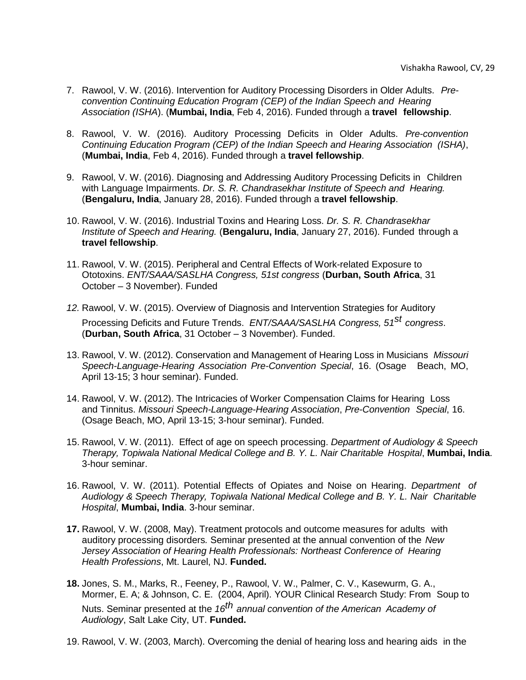- 7. Rawool, V. W. (2016). Intervention for Auditory Processing Disorders in Older Adults. *Preconvention Continuing Education Program (CEP) of the Indian Speech and Hearing Association (ISHA*). (**Mumbai, India**, Feb 4, 2016). Funded through a **travel fellowship**.
- 8. Rawool, V. W. (2016). Auditory Processing Deficits in Older Adults. *Pre-convention Continuing Education Program (CEP) of the Indian Speech and Hearing Association (ISHA)*, (**Mumbai, India**, Feb 4, 2016). Funded through a **travel fellowship**.
- 9. Rawool, V. W. (2016). Diagnosing and Addressing Auditory Processing Deficits in Children with Language Impairments. *Dr. S. R. Chandrasekhar Institute of Speech and Hearing.* (**Bengaluru, India**, January 28, 2016). Funded through a **travel fellowship**.
- 10. Rawool, V. W. (2016). Industrial Toxins and Hearing Loss. *Dr. S. R. Chandrasekhar Institute of Speech and Hearing.* (**Bengaluru, India**, January 27, 2016). Funded through a **travel fellowship**.
- 11. Rawool, V. W. (2015). Peripheral and Central Effects of Work-related Exposure to Ototoxins. *ENT/SAAA/SASLHA Congress, 51st congress* (**Durban, South Africa**, 31 October – 3 November). Funded
- *12.* Rawool, V. W. (2015). Overview of Diagnosis and Intervention Strategies for Auditory Processing Deficits and Future Trends. *ENT/SAAA/SASLHA Congress, 51st congress*. (**Durban, South Africa**, 31 October – 3 November). Funded.
- 13. Rawool, V. W. (2012). Conservation and Management of Hearing Loss in Musicians *Missouri Speech-Language-Hearing Association Pre-Convention Special*, 16. (Osage Beach, MO, April 13-15; 3 hour seminar). Funded.
- 14. Rawool, V. W. (2012). The Intricacies of Worker Compensation Claims for Hearing Loss and Tinnitus. *Missouri Speech-Language-Hearing Association*, *Pre-Convention Special*, 16. (Osage Beach, MO, April 13-15; 3-hour seminar). Funded.
- 15. Rawool, V. W. (2011). Effect of age on speech processing. *Department of Audiology & Speech Therapy, Topiwala National Medical College and B. Y. L. Nair Charitable Hospital*, **Mumbai, India**. 3-hour seminar.
- 16. Rawool, V. W. (2011). Potential Effects of Opiates and Noise on Hearing. *Department of Audiology & Speech Therapy, Topiwala National Medical College and B. Y. L. Nair Charitable Hospital*, **Mumbai, India**. 3-hour seminar.
- **17.** Rawool, V. W. (2008, May). Treatment protocols and outcome measures for adults with auditory processing disorders*.* Seminar presented at the annual convention of the *New Jersey Association of Hearing Health Professionals: Northeast Conference of Hearing Health Professions*, Mt. Laurel, NJ. **Funded.**
- **18.** Jones, S. M., Marks, R., Feeney, P., Rawool, V. W., Palmer, C. V., Kasewurm, G. A., Mormer, E. A; & Johnson, C. E. (2004, April). YOUR Clinical Research Study: From Soup to Nuts. Seminar presented at the *16th annual convention of the American Academy of Audiology*, Salt Lake City, UT. **Funded.**
- 19. Rawool, V. W. (2003, March). Overcoming the denial of hearing loss and hearing aids in the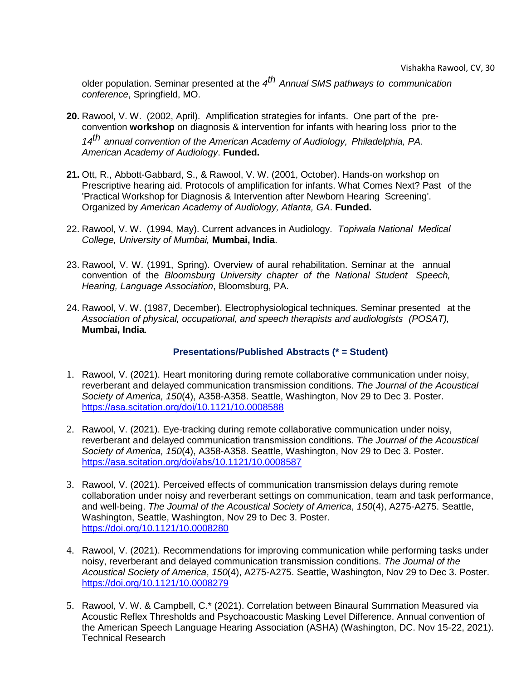older population. Seminar presented at the *4 th Annual SMS pathways to communication conference*, Springfield, MO.

- **20.** Rawool, V. W. (2002, April). Amplification strategies for infants. One part of the preconvention **workshop** on diagnosis & intervention for infants with hearing loss prior to the *14th annual convention of the American Academy of Audiology, Philadelphia, PA. American Academy of Audiology*. **Funded.**
- **21.** Ott, R., Abbott-Gabbard, S., & Rawool, V. W. (2001, October). Hands-on workshop on Prescriptive hearing aid. Protocols of amplification for infants. What Comes Next? Past of the 'Practical Workshop for Diagnosis & Intervention after Newborn Hearing Screening'. Organized by *American Academy of Audiology, Atlanta, GA*. **Funded.**
- 22. Rawool, V. W. (1994, May). Current advances in Audiology. *Topiwala National Medical College, University of Mumbai,* **Mumbai, India**.
- 23. Rawool, V. W. (1991, Spring). Overview of aural rehabilitation. Seminar at the annual convention of the *Bloomsburg University chapter of the National Student Speech, Hearing, Language Association*, Bloomsburg, PA.
- 24. Rawool, V. W. (1987, December). Electrophysiological techniques. Seminar presented at the *Association of physical, occupational, and speech therapists and audiologists (POSAT),* **Mumbai, India**.

# **Presentations/Published Abstracts (\* = Student)**

- <span id="page-29-0"></span>1. Rawool, V. (2021). Heart monitoring during remote collaborative communication under noisy, reverberant and delayed communication transmission conditions. *The Journal of the Acoustical Society of America, 150*(4), A358-A358. Seattle, Washington, Nov 29 to Dec 3. Poster. <https://asa.scitation.org/doi/10.1121/10.0008588>
- 2. Rawool, V. (2021). Eye-tracking during remote collaborative communication under noisy, reverberant and delayed communication transmission conditions. *The Journal of the Acoustical Society of America, 150*(4), A358-A358. Seattle, Washington, Nov 29 to Dec 3. Poster. <https://asa.scitation.org/doi/abs/10.1121/10.0008587>
- 3. Rawool, V. (2021). Perceived effects of communication transmission delays during remote collaboration under noisy and reverberant settings on communication, team and task performance, and well-being. *The Journal of the Acoustical Society of America*, *150*(4), A275-A275. Seattle, Washington, Seattle, Washington, Nov 29 to Dec 3. Poster. <https://doi.org/10.1121/10.0008280>
- 4. Rawool, V. (2021). Recommendations for improving communication while performing tasks under noisy, reverberant and delayed communication transmission conditions. *The Journal of the Acoustical Society of America*, *150*(4), A275-A275. Seattle, Washington, Nov 29 to Dec 3. Poster. <https://doi.org/10.1121/10.0008279>
- 5. Rawool, V. W. & Campbell, C.\* (2021). Correlation between Binaural Summation Measured via Acoustic Reflex Thresholds and Psychoacoustic Masking Level Difference. Annual convention of the American Speech Language Hearing Association (ASHA) (Washington, DC. Nov 15-22, 2021). Technical Research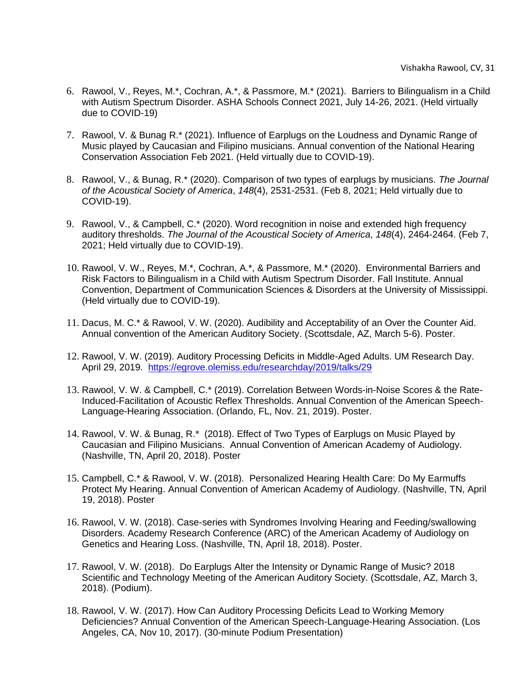- 6. Rawool, V., Reyes, M.\*, Cochran, A.\*, & Passmore, M.\* (2021). Barriers to Bilingualism in a Child with Autism Spectrum Disorder. ASHA Schools Connect 2021, July 14-26, 2021. (Held virtually due to COVID-19)
- 7. Rawool, V. & Bunag R.\* (2021). Influence of Earplugs on the Loudness and Dynamic Range of Music played by Caucasian and Filipino musicians. Annual convention of the National Hearing Conservation Association Feb 2021. (Held virtually due to COVID-19).
- 8. Rawool, V., & Bunag, R.\* (2020). Comparison of two types of earplugs by musicians. *The Journal of the Acoustical Society of America*, *148*(4), 2531-2531. (Feb 8, 2021; Held virtually due to COVID-19).
- 9. Rawool, V., & Campbell, C.\* (2020). Word recognition in noise and extended high frequency auditory thresholds. *The Journal of the Acoustical Society of America*, *148*(4), 2464-2464. (Feb 7, 2021; Held virtually due to COVID-19).
- 10. Rawool, V. W., Reyes, M.\*, Cochran, A.\*, & Passmore, M.\* (2020). Environmental Barriers and Risk Factors to Bilingualism in a Child with Autism Spectrum Disorder. Fall Institute. Annual Convention, Department of Communication Sciences & Disorders at the University of Mississippi. (Held virtually due to COVID-19).
- 11. Dacus, M. C.\* & Rawool, V. W. (2020). Audibility and Acceptability of an Over the Counter Aid. Annual convention of the American Auditory Society. (Scottsdale, AZ, March 5-6). Poster.
- 12. Rawool, V. W. (2019). Auditory Processing Deficits in Middle-Aged Adults. UM Research Day. April 29, 2019. <https://egrove.olemiss.edu/researchday/2019/talks/29>
- 13. Rawool, V. W. & Campbell, C.\* (2019). Correlation Between Words-in-Noise Scores & the Rate-Induced-Facilitation of Acoustic Reflex Thresholds. Annual Convention of the American Speech-Language-Hearing Association. (Orlando, FL, Nov. 21, 2019). Poster.
- 14. Rawool, V. W. & Bunag, R.\* (2018). Effect of Two Types of Earplugs on Music Played by Caucasian and Filipino Musicians. Annual Convention of American Academy of Audiology. (Nashville, TN, April 20, 2018). Poster
- 15. Campbell, C.\* & Rawool, V. W. (2018). Personalized Hearing Health Care: Do My Earmuffs Protect My Hearing. Annual Convention of American Academy of Audiology. (Nashville, TN, April 19, 2018). Poster
- 16. Rawool, V. W. (2018). Case-series with Syndromes Involving Hearing and Feeding/swallowing Disorders. Academy Research Conference (ARC) of the American Academy of Audiology on Genetics and Hearing Loss. (Nashville, TN, April 18, 2018). Poster.
- 17. Rawool, V. W. (2018). Do Earplugs Alter the Intensity or Dynamic Range of Music? 2018 Scientific and Technology Meeting of the American Auditory Society. (Scottsdale, AZ, March 3, 2018). (Podium).
- 18. Rawool, V. W. (2017). How Can Auditory Processing Deficits Lead to Working Memory Deficiencies? Annual Convention of the American Speech-Language-Hearing Association. (Los Angeles, CA, Nov 10, 2017). (30-minute Podium Presentation)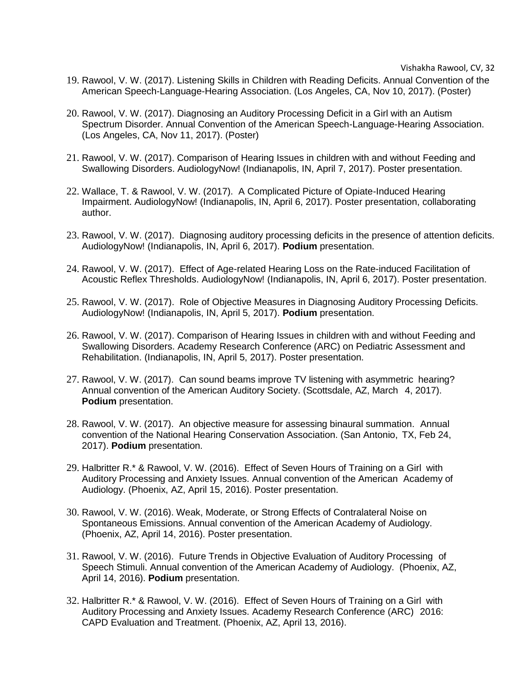- 19. Rawool, V. W. (2017). Listening Skills in Children with Reading Deficits. Annual Convention of the American Speech-Language-Hearing Association. (Los Angeles, CA, Nov 10, 2017). (Poster)
- 20. Rawool, V. W. (2017). Diagnosing an Auditory Processing Deficit in a Girl with an Autism Spectrum Disorder. Annual Convention of the American Speech-Language-Hearing Association. (Los Angeles, CA, Nov 11, 2017). (Poster)
- 21. Rawool, V. W. (2017). Comparison of Hearing Issues in children with and without Feeding and Swallowing Disorders. AudiologyNow! (Indianapolis, IN, April 7, 2017). Poster presentation.
- 22. Wallace, T. & Rawool, V. W. (2017). A Complicated Picture of Opiate-Induced Hearing Impairment. AudiologyNow! (Indianapolis, IN, April 6, 2017). Poster presentation, collaborating author.
- 23. Rawool, V. W. (2017). Diagnosing auditory processing deficits in the presence of attention deficits. AudiologyNow! (Indianapolis, IN, April 6, 2017). **Podium** presentation.
- 24. Rawool, V. W. (2017). Effect of Age-related Hearing Loss on the Rate-induced Facilitation of Acoustic Reflex Thresholds. AudiologyNow! (Indianapolis, IN, April 6, 2017). Poster presentation.
- 25. Rawool, V. W. (2017). Role of Objective Measures in Diagnosing Auditory Processing Deficits. AudiologyNow! (Indianapolis, IN, April 5, 2017). **Podium** presentation.
- 26. Rawool, V. W. (2017). Comparison of Hearing Issues in children with and without Feeding and Swallowing Disorders. Academy Research Conference (ARC) on Pediatric Assessment and Rehabilitation. (Indianapolis, IN, April 5, 2017). Poster presentation.
- 27. Rawool, V. W. (2017). Can sound beams improve TV listening with asymmetric hearing? Annual convention of the American Auditory Society. (Scottsdale, AZ, March 4, 2017). **Podium** presentation.
- 28. Rawool, V. W. (2017). An objective measure for assessing binaural summation. Annual convention of the National Hearing Conservation Association. (San Antonio, TX, Feb 24, 2017). **Podium** presentation.
- 29. Halbritter R.\* & Rawool, V. W. (2016). Effect of Seven Hours of Training on a Girl with Auditory Processing and Anxiety Issues. Annual convention of the American Academy of Audiology. (Phoenix, AZ, April 15, 2016). Poster presentation.
- 30. Rawool, V. W. (2016). Weak, Moderate, or Strong Effects of Contralateral Noise on Spontaneous Emissions. Annual convention of the American Academy of Audiology. (Phoenix, AZ, April 14, 2016). Poster presentation.
- 31. Rawool, V. W. (2016). Future Trends in Objective Evaluation of Auditory Processing of Speech Stimuli. Annual convention of the American Academy of Audiology. (Phoenix, AZ, April 14, 2016). **Podium** presentation.
- 32. Halbritter R.\* & Rawool, V. W. (2016). Effect of Seven Hours of Training on a Girl with Auditory Processing and Anxiety Issues. Academy Research Conference (ARC) 2016: CAPD Evaluation and Treatment. (Phoenix, AZ, April 13, 2016).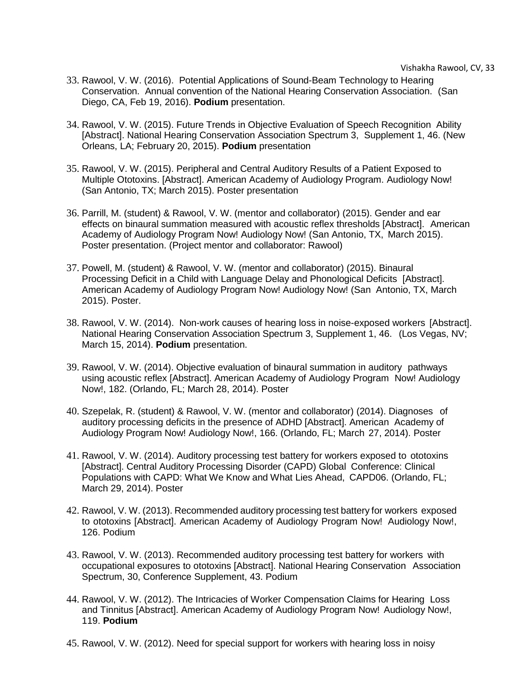- 33. Rawool, V. W. (2016). Potential Applications of Sound-Beam Technology to Hearing Conservation. Annual convention of the National Hearing Conservation Association. (San Diego, CA, Feb 19, 2016). **Podium** presentation.
- 34. Rawool, V. W. (2015). Future Trends in Objective Evaluation of Speech Recognition Ability [Abstract]. National Hearing Conservation Association Spectrum 3, Supplement 1, 46. (New Orleans, LA; February 20, 2015). **Podium** presentation
- 35. Rawool, V. W. (2015). Peripheral and Central Auditory Results of a Patient Exposed to Multiple Ototoxins. [Abstract]. American Academy of Audiology Program. Audiology Now! (San Antonio, TX; March 2015). Poster presentation
- 36. Parrill, M. (student) & Rawool, V. W. (mentor and collaborator) (2015). Gender and ear effects on binaural summation measured with acoustic reflex thresholds [Abstract]. American Academy of Audiology Program Now! Audiology Now! (San Antonio, TX, March 2015). Poster presentation. (Project mentor and collaborator: Rawool)
- 37. Powell, M. (student) & Rawool, V. W. (mentor and collaborator) (2015). Binaural Processing Deficit in a Child with Language Delay and Phonological Deficits [Abstract]. American Academy of Audiology Program Now! Audiology Now! (San Antonio, TX, March 2015). Poster.
- 38. Rawool, V. W. (2014). Non-work causes of hearing loss in noise-exposed workers [Abstract]. National Hearing Conservation Association Spectrum 3, Supplement 1, 46. (Los Vegas, NV; March 15, 2014). **Podium** presentation.
- 39. Rawool, V. W. (2014). Objective evaluation of binaural summation in auditory pathways using acoustic reflex [Abstract]. American Academy of Audiology Program Now! Audiology Now!, 182. (Orlando, FL; March 28, 2014). Poster
- 40. Szepelak, R. (student) & Rawool, V. W. (mentor and collaborator) (2014). Diagnoses of auditory processing deficits in the presence of ADHD [Abstract]. American Academy of Audiology Program Now! Audiology Now!, 166. (Orlando, FL; March 27, 2014). Poster
- 41. Rawool, V. W. (2014). Auditory processing test battery for workers exposed to ototoxins [Abstract]. Central Auditory Processing Disorder (CAPD) Global Conference: Clinical Populations with CAPD: What We Know and What Lies Ahead, CAPD06. (Orlando, FL; March 29, 2014). Poster
- 42. Rawool, V. W. (2013). Recommended auditory processing test battery for workers exposed to ototoxins [Abstract]. American Academy of Audiology Program Now! Audiology Now!, 126. Podium
- 43. Rawool, V. W. (2013). Recommended auditory processing test battery for workers with occupational exposures to ototoxins [Abstract]. National Hearing Conservation Association Spectrum, 30, Conference Supplement, 43. Podium
- 44. Rawool, V. W. (2012). The Intricacies of Worker Compensation Claims for Hearing Loss and Tinnitus [Abstract]. American Academy of Audiology Program Now! Audiology Now!, 119. **Podium**
- 45. Rawool, V. W. (2012). Need for special support for workers with hearing loss in noisy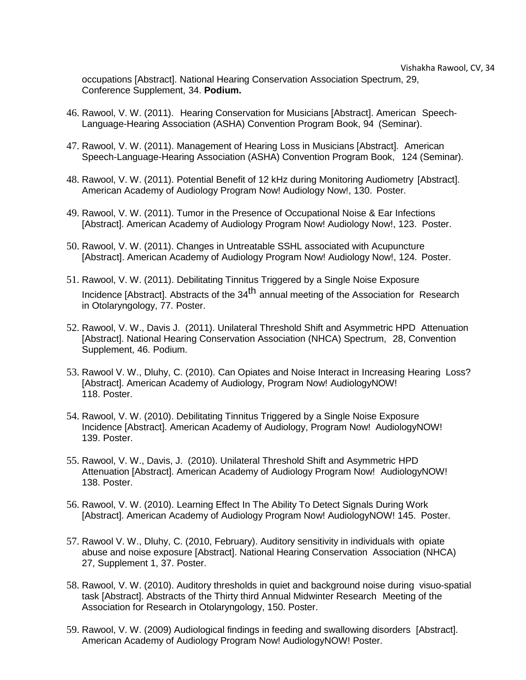occupations [Abstract]. National Hearing Conservation Association Spectrum, 29, Conference Supplement, 34. **Podium.**

- 46. Rawool, V. W. (2011). Hearing Conservation for Musicians [Abstract]. American Speech-Language-Hearing Association (ASHA) Convention Program Book, 94 (Seminar).
- 47. Rawool, V. W. (2011). Management of Hearing Loss in Musicians [Abstract]. American Speech-Language-Hearing Association (ASHA) Convention Program Book, 124 (Seminar).
- 48. Rawool, V. W. (2011). Potential Benefit of 12 kHz during Monitoring Audiometry [Abstract]. American Academy of Audiology Program Now! Audiology Now!, 130. Poster.
- 49. Rawool, V. W. (2011). Tumor in the Presence of Occupational Noise & Ear Infections [Abstract]. American Academy of Audiology Program Now! Audiology Now!, 123. Poster.
- 50. Rawool, V. W. (2011). Changes in Untreatable SSHL associated with Acupuncture [Abstract]. American Academy of Audiology Program Now! Audiology Now!, 124. Poster.
- 51. Rawool, V. W. (2011). Debilitating Tinnitus Triggered by a Single Noise Exposure Incidence [Abstract]. Abstracts of the 34<sup>th</sup> annual meeting of the Association for Research in Otolaryngology, 77. Poster.
- 52. Rawool, V. W., Davis J. (2011). Unilateral Threshold Shift and Asymmetric HPD Attenuation [Abstract]. National Hearing Conservation Association (NHCA) Spectrum, 28, Convention Supplement, 46. Podium.
- 53. Rawool V. W., Dluhy, C. (2010). Can Opiates and Noise Interact in Increasing Hearing Loss? [Abstract]. American Academy of Audiology, Program Now! AudiologyNOW! 118. Poster.
- 54. Rawool, V. W. (2010). Debilitating Tinnitus Triggered by a Single Noise Exposure Incidence [Abstract]. American Academy of Audiology, Program Now! AudiologyNOW! 139. Poster.
- 55. Rawool, V. W., Davis, J. (2010). Unilateral Threshold Shift and Asymmetric HPD Attenuation [Abstract]. American Academy of Audiology Program Now! AudiologyNOW! 138. Poster.
- 56. Rawool, V. W. (2010). Learning Effect In The Ability To Detect Signals During Work [Abstract]. American Academy of Audiology Program Now! AudiologyNOW! 145. Poster.
- 57. Rawool V. W., Dluhy, C. (2010, February). Auditory sensitivity in individuals with opiate abuse and noise exposure [Abstract]. National Hearing Conservation Association (NHCA) 27, Supplement 1, 37. Poster.
- 58. Rawool, V. W. (2010). Auditory thresholds in quiet and background noise during visuo-spatial task [Abstract]. Abstracts of the Thirty third Annual Midwinter Research Meeting of the Association for Research in Otolaryngology, 150. Poster.
- 59. Rawool, V. W. (2009) Audiological findings in feeding and swallowing disorders [Abstract]. American Academy of Audiology Program Now! AudiologyNOW! Poster.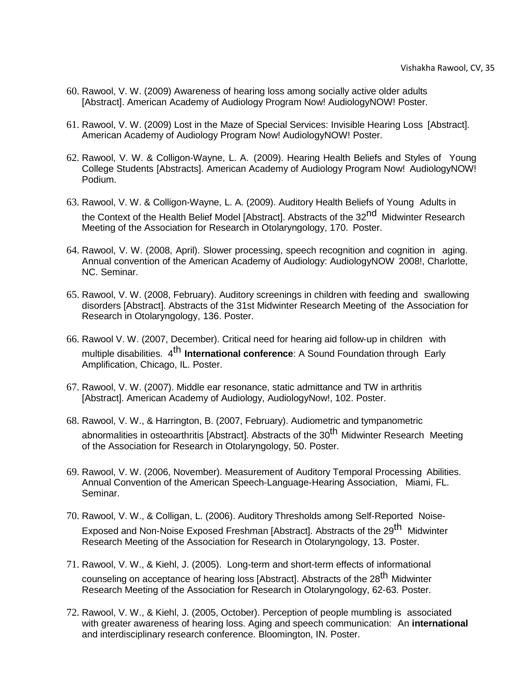- 60. Rawool, V. W. (2009) Awareness of hearing loss among socially active older adults [Abstract]. American Academy of Audiology Program Now! AudiologyNOW! Poster.
- 61. Rawool, V. W. (2009) Lost in the Maze of Special Services: Invisible Hearing Loss [Abstract]. American Academy of Audiology Program Now! AudiologyNOW! Poster.
- 62. Rawool, V. W. & Colligon-Wayne, L. A. (2009). Hearing Health Beliefs and Styles of Young College Students [Abstracts]. American Academy of Audiology Program Now! AudiologyNOW! Podium.
- 63. Rawool, V. W. & Colligon-Wayne, L. A. (2009). Auditory Health Beliefs of Young Adults in the Context of the Health Belief Model [Abstract]. Abstracts of the 32<sup>nd</sup> Midwinter Research Meeting of the Association for Research in Otolaryngology, 170. Poster.
- 64. Rawool, V. W. (2008, April). Slower processing, speech recognition and cognition in aging. Annual convention of the American Academy of Audiology: AudiologyNOW 2008!, Charlotte, NC. Seminar.
- 65. Rawool, V. W. (2008, February). Auditory screenings in children with feeding and swallowing disorders [Abstract]. Abstracts of the 31st Midwinter Research Meeting of the Association for Research in Otolaryngology, 136. Poster.
- 66. Rawool V. W. (2007, December). Critical need for hearing aid follow-up in children with multiple disabilities. 4 th **International conference**: A Sound Foundation through Early Amplification, Chicago, IL. Poster.
- 67. Rawool, V. W. (2007). Middle ear resonance, static admittance and TW in arthritis [Abstract]. American Academy of Audiology, AudiologyNow!, 102. Poster.
- 68. Rawool, V. W., & Harrington, B. (2007, February). Audiometric and tympanometric abnormalities in osteoarthritis [Abstract]. Abstracts of the 30<sup>th</sup> Midwinter Research Meeting of the Association for Research in Otolaryngology, 50. Poster.
- 69. Rawool, V. W. (2006, November). Measurement of Auditory Temporal Processing Abilities. Annual Convention of the American Speech-Language-Hearing Association, Miami, FL. Seminar.
- 70. Rawool, V. W., & Colligan, L. (2006). Auditory Thresholds among Self-Reported Noise-Exposed and Non-Noise Exposed Freshman [Abstract]. Abstracts of the 29<sup>th</sup> Midwinter Research Meeting of the Association for Research in Otolaryngology, 13. Poster.
- 71. Rawool, V. W., & Kiehl, J. (2005). Long-term and short-term effects of informational counseling on acceptance of hearing loss [Abstract]. Abstracts of the 28<sup>th</sup> Midwinter Research Meeting of the Association for Research in Otolaryngology, 62-63. Poster.
- 72. Rawool, V. W., & Kiehl, J. (2005, October). Perception of people mumbling is associated with greater awareness of hearing loss. Aging and speech communication: An **international** and interdisciplinary research conference. Bloomington, IN. Poster.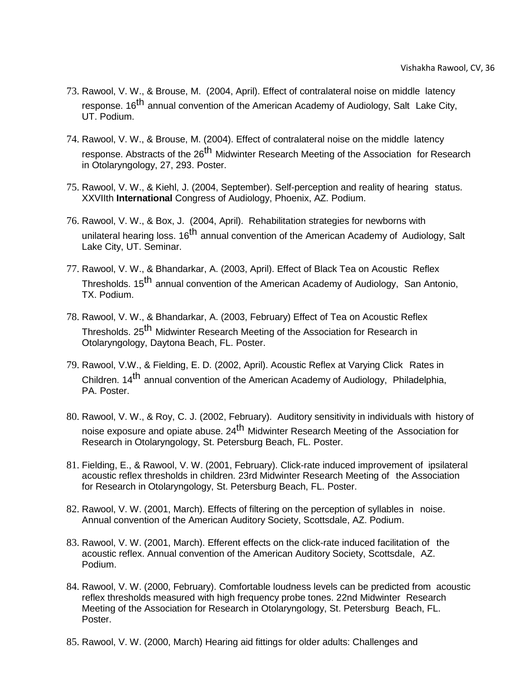- 73. Rawool, V. W., & Brouse, M. (2004, April). Effect of contralateral noise on middle latency response. 16<sup>th</sup> annual convention of the American Academy of Audiology, Salt Lake City, UT. Podium.
- 74. Rawool, V. W., & Brouse, M. (2004). Effect of contralateral noise on the middle latency response. Abstracts of the 26<sup>th</sup> Midwinter Research Meeting of the Association for Research in Otolaryngology, 27, 293. Poster.
- 75. Rawool, V. W., & Kiehl, J. (2004, September). Self-perception and reality of hearing status. XXVIIth **International** Congress of Audiology, Phoenix, AZ. Podium.
- 76. Rawool, V. W., & Box, J. (2004, April). Rehabilitation strategies for newborns with unilateral hearing loss. 16<sup>th</sup> annual convention of the American Academy of Audiology, Salt Lake City, UT. Seminar.
- 77. Rawool, V. W., & Bhandarkar, A. (2003, April). Effect of Black Tea on Acoustic Reflex Thresholds. 15<sup>th</sup> annual convention of the American Academy of Audiology, San Antonio, TX. Podium.
- 78. Rawool, V. W., & Bhandarkar, A. (2003, February) Effect of Tea on Acoustic Reflex Thresholds. 25<sup>th</sup> Midwinter Research Meeting of the Association for Research in Otolaryngology, Daytona Beach, FL. Poster.
- 79. Rawool, V.W., & Fielding, E. D. (2002, April). Acoustic Reflex at Varying Click Rates in Children. 14<sup>th</sup> annual convention of the American Academy of Audiology, Philadelphia, PA. Poster.
- 80. Rawool, V. W., & Roy, C. J. (2002, February). Auditory sensitivity in individuals with history of noise exposure and opiate abuse. 24<sup>th</sup> Midwinter Research Meeting of the Association for Research in Otolaryngology, St. Petersburg Beach, FL. Poster.
- 81. Fielding, E., & Rawool, V. W. (2001, February). Click-rate induced improvement of ipsilateral acoustic reflex thresholds in children. 23rd Midwinter Research Meeting of the Association for Research in Otolaryngology, St. Petersburg Beach, FL. Poster.
- 82. Rawool, V. W. (2001, March). Effects of filtering on the perception of syllables in noise. Annual convention of the American Auditory Society, Scottsdale, AZ. Podium.
- 83. Rawool, V. W. (2001, March). Efferent effects on the click-rate induced facilitation of the acoustic reflex. Annual convention of the American Auditory Society, Scottsdale, AZ. Podium.
- 84. Rawool, V. W. (2000, February). Comfortable loudness levels can be predicted from acoustic reflex thresholds measured with high frequency probe tones. 22nd Midwinter Research Meeting of the Association for Research in Otolaryngology, St. Petersburg Beach, FL. Poster.
- 85. Rawool, V. W. (2000, March) Hearing aid fittings for older adults: Challenges and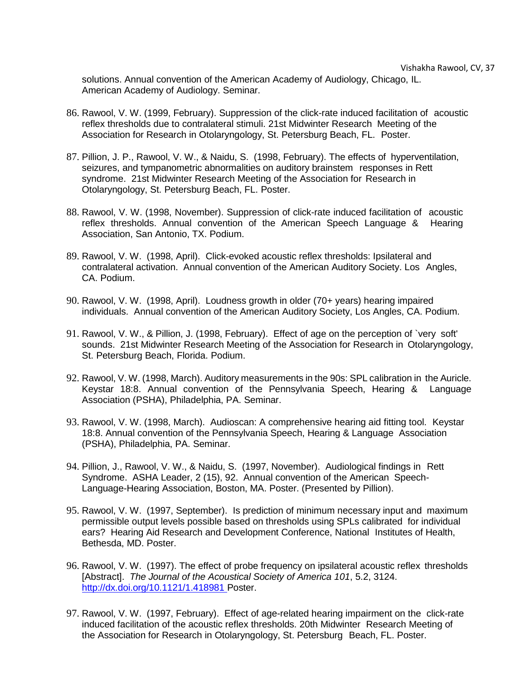solutions. Annual convention of the American Academy of Audiology, Chicago, IL. American Academy of Audiology. Seminar.

- 86. Rawool, V. W. (1999, February). Suppression of the click-rate induced facilitation of acoustic reflex thresholds due to contralateral stimuli. 21st Midwinter Research Meeting of the Association for Research in Otolaryngology, St. Petersburg Beach, FL. Poster.
- 87. Pillion, J. P., Rawool, V. W., & Naidu, S. (1998, February). The effects of hyperventilation, seizures, and tympanometric abnormalities on auditory brainstem responses in Rett syndrome. 21st Midwinter Research Meeting of the Association for Research in Otolaryngology, St. Petersburg Beach, FL. Poster.
- 88. Rawool, V. W. (1998, November). Suppression of click-rate induced facilitation of acoustic reflex thresholds. Annual convention of the American Speech Language & Hearing Association, San Antonio, TX. Podium.
- 89. Rawool, V. W. (1998, April). Click-evoked acoustic reflex thresholds: Ipsilateral and contralateral activation. Annual convention of the American Auditory Society. Los Angles, CA. Podium.
- 90. Rawool, V. W. (1998, April). Loudness growth in older (70+ years) hearing impaired individuals. Annual convention of the American Auditory Society, Los Angles, CA. Podium.
- 91. Rawool, V. W., & Pillion, J. (1998, February). Effect of age on the perception of `very soft' sounds. 21st Midwinter Research Meeting of the Association for Research in Otolaryngology, St. Petersburg Beach, Florida. Podium.
- 92. Rawool, V. W. (1998, March). Auditory measurements in the 90s: SPL calibration in the Auricle. Keystar 18:8. Annual convention of the Pennsylvania Speech, Hearing & Language Association (PSHA), Philadelphia, PA. Seminar.
- 93. Rawool, V. W. (1998, March). Audioscan: A comprehensive hearing aid fitting tool. Keystar 18:8. Annual convention of the Pennsylvania Speech, Hearing & Language Association (PSHA), Philadelphia, PA. Seminar.
- 94. Pillion, J., Rawool, V. W., & Naidu, S. (1997, November). Audiological findings in Rett Syndrome. ASHA Leader, 2 (15), 92. Annual convention of the American Speech-Language-Hearing Association, Boston, MA. Poster. (Presented by Pillion).
- 95. Rawool, V. W. (1997, September). Is prediction of minimum necessary input and maximum permissible output levels possible based on thresholds using SPLs calibrated for individual ears? Hearing Aid Research and Development Conference, National Institutes of Health, Bethesda, MD. Poster.
- 96. Rawool, V. W. (1997). The effect of probe frequency on ipsilateral acoustic reflex thresholds [Abstract]. *The Journal of the Acoustical Society of America 101*, 5.2, 3124. <http://dx.doi.org/10.1121/1.418981> Poster.
- 97. Rawool, V. W. (1997, February). Effect of age-related hearing impairment on the click-rate induced facilitation of the acoustic reflex thresholds. 20th Midwinter Research Meeting of the Association for Research in Otolaryngology, St. Petersburg Beach, FL. Poster.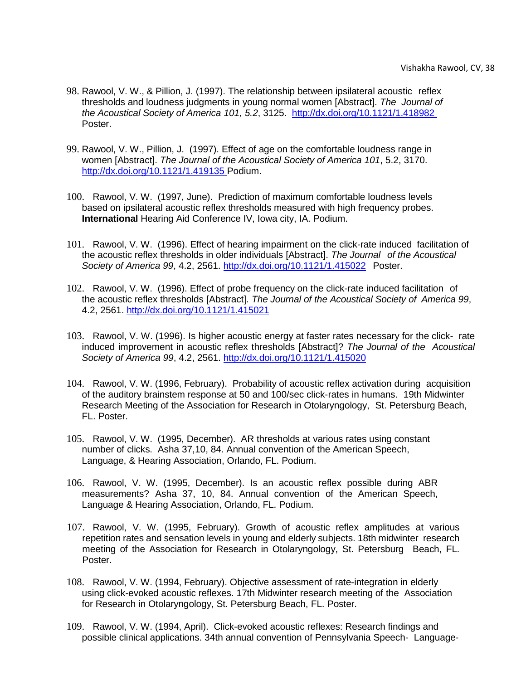- 98. Rawool, V. W., & Pillion, J. (1997). The relationship between ipsilateral acoustic reflex thresholds and loudness judgments in young normal women [Abstract]. *The Journal of the Acoustical Society of America 101, 5.2*, 3125. <http://dx.doi.org/10.1121/1.418982> Poster.
- 99. Rawool, V. W., Pillion, J. (1997). Effect of age on the comfortable loudness range in women [Abstract]. *The Journal of the Acoustical Society of America 101*, 5.2, 3170. <http://dx.doi.org/10.1121/1.419135> Podium.
- 100. Rawool, V. W. (1997, June). Prediction of maximum comfortable loudness levels based on ipsilateral acoustic reflex thresholds measured with high frequency probes. **International** Hearing Aid Conference IV, Iowa city, IA. Podium.
- 101. Rawool, V. W. (1996). Effect of hearing impairment on the click-rate induced facilitation of the acoustic reflex thresholds in older individuals [Abstract]. *The Journal of the Acoustical Society of America 99*, 4.2, 2561. <http://dx.doi.org/10.1121/1.415022> Poster.
- 102. Rawool, V. W. (1996). Effect of probe frequency on the click-rate induced facilitation of the acoustic reflex thresholds [Abstract]. *The Journal of the Acoustical Society of America 99*, 4.2, 2561.<http://dx.doi.org/10.1121/1.415021>
- 103. Rawool, V. W. (1996). Is higher acoustic energy at faster rates necessary for the click- rate induced improvement in acoustic reflex thresholds [Abstract]? *The Journal of the Acoustical Society of America 99*, 4.2, 2561.<http://dx.doi.org/10.1121/1.415020>
- 104. Rawool, V. W. (1996, February). Probability of acoustic reflex activation during acquisition of the auditory brainstem response at 50 and 100/sec click-rates in humans. 19th Midwinter Research Meeting of the Association for Research in Otolaryngology, St. Petersburg Beach, FL. Poster.
- 105. Rawool, V. W. (1995, December). AR thresholds at various rates using constant number of clicks. Asha 37,10, 84. Annual convention of the American Speech, Language, & Hearing Association, Orlando, FL. Podium.
- 106. Rawool, V. W. (1995, December). Is an acoustic reflex possible during ABR measurements? Asha 37, 10, 84. Annual convention of the American Speech, Language & Hearing Association, Orlando, FL. Podium.
- 107. Rawool, V. W. (1995, February). Growth of acoustic reflex amplitudes at various repetition rates and sensation levels in young and elderly subjects. 18th midwinter research meeting of the Association for Research in Otolaryngology, St. Petersburg Beach, FL. Poster.
- 108. Rawool, V. W. (1994, February). Objective assessment of rate-integration in elderly using click-evoked acoustic reflexes. 17th Midwinter research meeting of the Association for Research in Otolaryngology, St. Petersburg Beach, FL. Poster.
- 109. Rawool, V. W. (1994, April). Click-evoked acoustic reflexes: Research findings and possible clinical applications. 34th annual convention of Pennsylvania Speech- Language-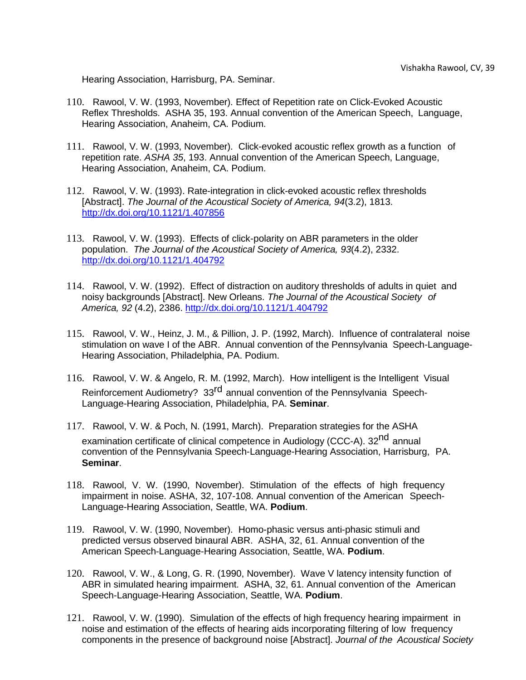Hearing Association, Harrisburg, PA. Seminar.

- 110. Rawool, V. W. (1993, November). Effect of Repetition rate on Click-Evoked Acoustic Reflex Thresholds. ASHA 35, 193. Annual convention of the American Speech, Language, Hearing Association, Anaheim, CA. Podium.
- 111. Rawool, V. W. (1993, November). Click-evoked acoustic reflex growth as a function of repetition rate. *ASHA 35*, 193. Annual convention of the American Speech, Language, Hearing Association, Anaheim, CA. Podium.
- 112. Rawool, V. W. (1993). Rate-integration in click-evoked acoustic reflex thresholds [Abstract]. *The Journal of the Acoustical Society of America, 94*(3.2), 1813. <http://dx.doi.org/10.1121/1.407856>
- 113. Rawool, V. W. (1993). Effects of click-polarity on ABR parameters in the older population. *The Journal of the Acoustical Society of America, 93*(4.2), 2332. <http://dx.doi.org/10.1121/1.404792>
- 114. Rawool, V. W. (1992). Effect of distraction on auditory thresholds of adults in quiet and noisy backgrounds [Abstract]. New Orleans. *The Journal of the Acoustical Society of America, 92* (4.2), 2386.<http://dx.doi.org/10.1121/1.404792>
- 115. Rawool, V. W., Heinz, J. M., & Pillion, J. P. (1992, March). Influence of contralateral noise stimulation on wave I of the ABR. Annual convention of the Pennsylvania Speech-Language-Hearing Association, Philadelphia, PA. Podium.
- 116. Rawool, V. W. & Angelo, R. M. (1992, March). How intelligent is the Intelligent Visual Reinforcement Audiometry? 33<sup>rd</sup> annual convention of the Pennsylvania Speech-Language-Hearing Association, Philadelphia, PA. **Seminar**.
- 117. Rawool, V. W. & Poch, N. (1991, March). Preparation strategies for the ASHA examination certificate of clinical competence in Audiology (CCC-A). 32<sup>nd</sup> annual convention of the Pennsylvania Speech-Language-Hearing Association, Harrisburg, PA. **Seminar**.
- 118. Rawool, V. W. (1990, November). Stimulation of the effects of high frequency impairment in noise. ASHA, 32, 107-108. Annual convention of the American Speech-Language-Hearing Association, Seattle, WA. **Podium**.
- 119. Rawool, V. W. (1990, November). Homo-phasic versus anti-phasic stimuli and predicted versus observed binaural ABR. ASHA, 32, 61. Annual convention of the American Speech-Language-Hearing Association, Seattle, WA. **Podium**.
- 120. Rawool, V. W., & Long, G. R. (1990, November). Wave V latency intensity function of ABR in simulated hearing impairment. ASHA, 32, 61. Annual convention of the American Speech-Language-Hearing Association, Seattle, WA. **Podium**.
- 121. Rawool, V. W. (1990). Simulation of the effects of high frequency hearing impairment in noise and estimation of the effects of hearing aids incorporating filtering of low frequency components in the presence of background noise [Abstract]. *Journal of the Acoustical Society*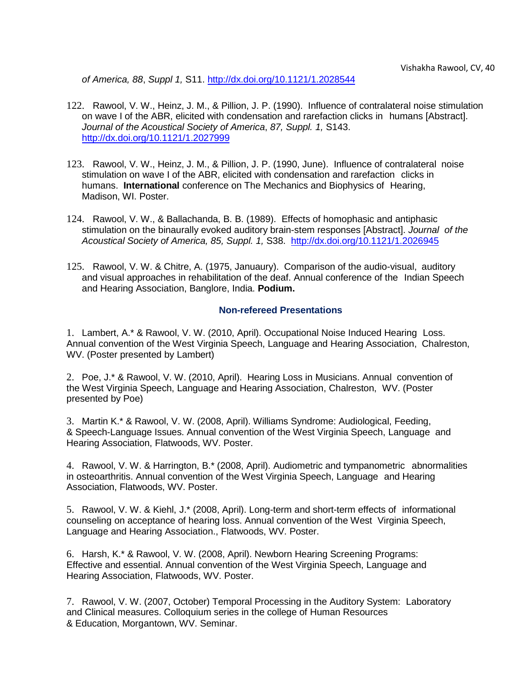*of America, 88*, *Suppl 1,* S11.<http://dx.doi.org/10.1121/1.2028544>

- 122. Rawool, V. W., Heinz, J. M., & Pillion, J. P. (1990). Influence of contralateral noise stimulation on wave I of the ABR, elicited with condensation and rarefaction clicks in humans [Abstract]. *Journal of the Acoustical Society of America*, *87, Suppl. 1,* S143. <http://dx.doi.org/10.1121/1.2027999>
- 123. Rawool, V. W., Heinz, J. M., & Pillion, J. P. (1990, June). Influence of contralateral noise stimulation on wave I of the ABR, elicited with condensation and rarefaction clicks in humans. **International** conference on The Mechanics and Biophysics of Hearing, Madison, WI. Poster.
- 124. Rawool, V. W., & Ballachanda, B. B. (1989). Effects of homophasic and antiphasic stimulation on the binaurally evoked auditory brain-stem responses [Abstract]. *Journal of the Acoustical Society of America, 85, Suppl. 1,* S38. <http://dx.doi.org/10.1121/1.2026945>
- 125. Rawool, V. W. & Chitre, A. (1975, Januaury). Comparison of the audio-visual, auditory and visual approaches in rehabilitation of the deaf. Annual conference of the Indian Speech and Hearing Association, Banglore, India. **Podium.**

## **Non-refereed Presentations**

<span id="page-39-0"></span>1. Lambert, A.\* & Rawool, V. W. (2010, April). Occupational Noise Induced Hearing Loss. Annual convention of the West Virginia Speech, Language and Hearing Association, Chalreston, WV. (Poster presented by Lambert)

2. Poe, J.\* & Rawool, V. W. (2010, April). Hearing Loss in Musicians. Annual convention of the West Virginia Speech, Language and Hearing Association, Chalreston, WV. (Poster presented by Poe)

3. Martin K.\* & Rawool, V. W. (2008, April). Williams Syndrome: Audiological, Feeding, & Speech-Language Issues. Annual convention of the West Virginia Speech, Language and Hearing Association, Flatwoods, WV. Poster.

4. Rawool, V. W. & Harrington, B.\* (2008, April). Audiometric and tympanometric abnormalities in osteoarthritis. Annual convention of the West Virginia Speech, Language and Hearing Association, Flatwoods, WV. Poster.

5. Rawool, V. W. & Kiehl, J.\* (2008, April). Long-term and short-term effects of informational counseling on acceptance of hearing loss. Annual convention of the West Virginia Speech, Language and Hearing Association., Flatwoods, WV. Poster.

6. Harsh, K.\* & Rawool, V. W. (2008, April). Newborn Hearing Screening Programs: Effective and essential. Annual convention of the West Virginia Speech, Language and Hearing Association, Flatwoods, WV. Poster.

7. Rawool, V. W. (2007, October) Temporal Processing in the Auditory System: Laboratory and Clinical measures. Colloquium series in the college of Human Resources & Education, Morgantown, WV. Seminar.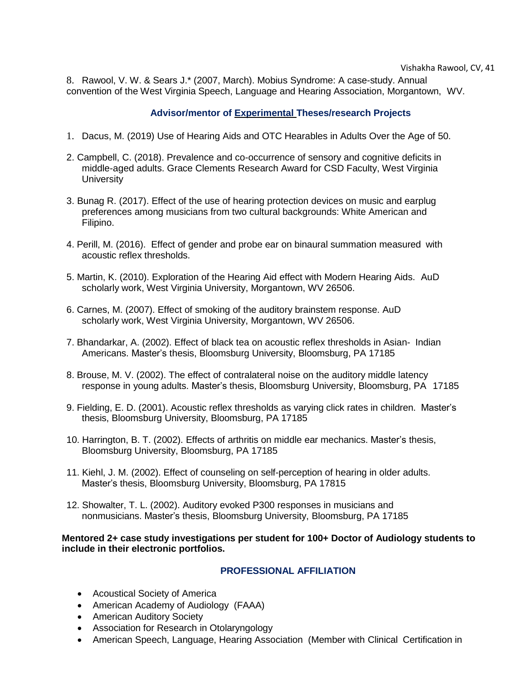8. Rawool, V. W. & Sears J.\* (2007, March). Mobius Syndrome: A case-study. Annual convention of the West Virginia Speech, Language and Hearing Association, Morgantown, WV.

# **Advisor/mentor of Experimental Theses/research Projects**

- <span id="page-40-0"></span>1. Dacus, M. (2019) Use of Hearing Aids and OTC Hearables in Adults Over the Age of 50.
- 2. Campbell, C. (2018). Prevalence and co-occurrence of sensory and cognitive deficits in middle-aged adults. Grace Clements Research Award for CSD Faculty, West Virginia **University**
- 3. Bunag R. (2017). Effect of the use of hearing protection devices on music and earplug preferences among musicians from two cultural backgrounds: White American and Filipino.
- 4. Perill, M. (2016). Effect of gender and probe ear on binaural summation measured with acoustic reflex thresholds.
- 5. Martin, K. (2010). Exploration of the Hearing Aid effect with Modern Hearing Aids. AuD scholarly work, West Virginia University, Morgantown, WV 26506.
- 6. Carnes, M. (2007). Effect of smoking of the auditory brainstem response. AuD scholarly work, West Virginia University, Morgantown, WV 26506.
- 7. Bhandarkar, A. (2002). Effect of black tea on acoustic reflex thresholds in Asian- Indian Americans. Master's thesis, Bloomsburg University, Bloomsburg, PA 17185
- 8. Brouse, M. V. (2002). The effect of contralateral noise on the auditory middle latency response in young adults. Master's thesis, Bloomsburg University, Bloomsburg, PA 17185
- 9. Fielding, E. D. (2001). Acoustic reflex thresholds as varying click rates in children. Master's thesis, Bloomsburg University, Bloomsburg, PA 17185
- 10. Harrington, B. T. (2002). Effects of arthritis on middle ear mechanics. Master's thesis, Bloomsburg University, Bloomsburg, PA 17185
- 11. Kiehl, J. M. (2002). Effect of counseling on self-perception of hearing in older adults. Master's thesis, Bloomsburg University, Bloomsburg, PA 17815
- 12. Showalter, T. L. (2002). Auditory evoked P300 responses in musicians and nonmusicians. Master's thesis, Bloomsburg University, Bloomsburg, PA 17185

**Mentored 2+ case study investigations per student for 100+ Doctor of Audiology students to include in their electronic portfolios.**

# **PROFESSIONAL AFFILIATION**

- <span id="page-40-1"></span>• Acoustical Society of America
- American Academy of Audiology (FAAA)
- American Auditory Society
- Association for Research in Otolaryngology
- American Speech, Language, Hearing Association (Member with Clinical Certification in